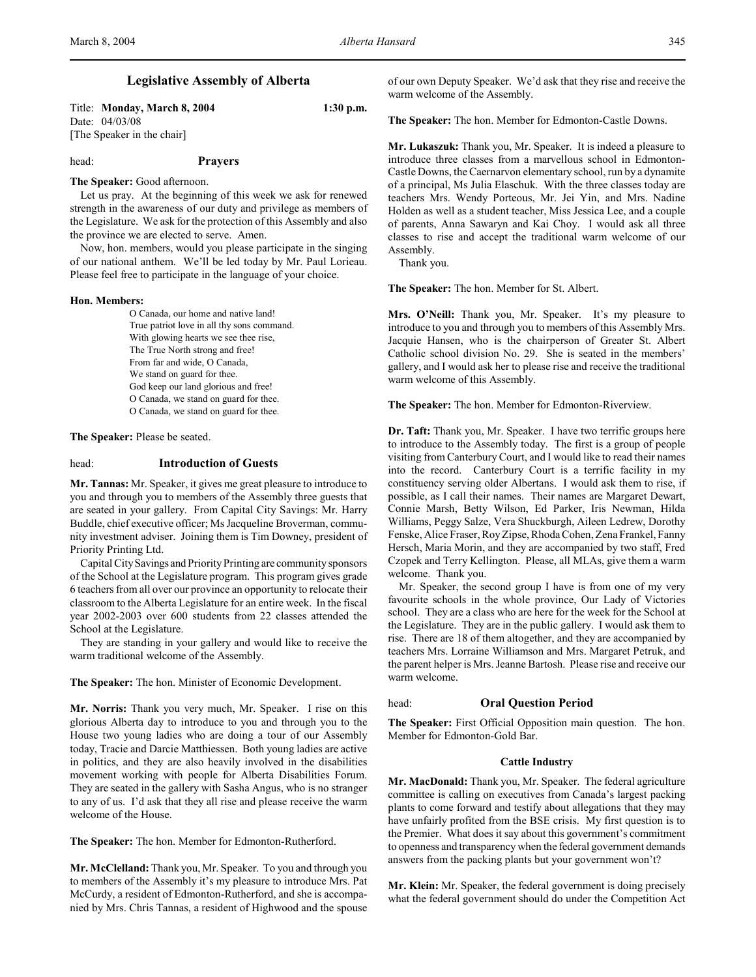# **Legislative Assembly of Alberta**

Title: **Monday, March 8, 2004 1:30 p.m.** Date: 04/03/08 [The Speaker in the chair]

head: **Prayers**

## **The Speaker:** Good afternoon.

Let us pray. At the beginning of this week we ask for renewed strength in the awareness of our duty and privilege as members of the Legislature. We ask for the protection of this Assembly and also the province we are elected to serve. Amen.

Now, hon. members, would you please participate in the singing of our national anthem. We'll be led today by Mr. Paul Lorieau. Please feel free to participate in the language of your choice.

#### **Hon. Members:**

O Canada, our home and native land! True patriot love in all thy sons command. With glowing hearts we see thee rise, The True North strong and free! From far and wide, O Canada, We stand on guard for thee. God keep our land glorious and free! O Canada, we stand on guard for thee. O Canada, we stand on guard for thee.

**The Speaker:** Please be seated.

## head: **Introduction of Guests**

**Mr. Tannas:** Mr. Speaker, it gives me great pleasure to introduce to you and through you to members of the Assembly three guests that are seated in your gallery. From Capital City Savings: Mr. Harry Buddle, chief executive officer; Ms Jacqueline Broverman, community investment adviser. Joining them is Tim Downey, president of Priority Printing Ltd.

Capital City Savings and Priority Printing are community sponsors of the School at the Legislature program. This program gives grade 6 teachers from all over our province an opportunity to relocate their classroom to the Alberta Legislature for an entire week. In the fiscal year 2002-2003 over 600 students from 22 classes attended the School at the Legislature.

They are standing in your gallery and would like to receive the warm traditional welcome of the Assembly.

**The Speaker:** The hon. Minister of Economic Development.

**Mr. Norris:** Thank you very much, Mr. Speaker. I rise on this glorious Alberta day to introduce to you and through you to the House two young ladies who are doing a tour of our Assembly today, Tracie and Darcie Matthiessen. Both young ladies are active in politics, and they are also heavily involved in the disabilities movement working with people for Alberta Disabilities Forum. They are seated in the gallery with Sasha Angus, who is no stranger to any of us. I'd ask that they all rise and please receive the warm welcome of the House.

**The Speaker:** The hon. Member for Edmonton-Rutherford.

**Mr. McClelland:** Thank you, Mr. Speaker. To you and through you to members of the Assembly it's my pleasure to introduce Mrs. Pat McCurdy, a resident of Edmonton-Rutherford, and she is accompanied by Mrs. Chris Tannas, a resident of Highwood and the spouse of our own Deputy Speaker. We'd ask that they rise and receive the warm welcome of the Assembly.

**The Speaker:** The hon. Member for Edmonton-Castle Downs.

**Mr. Lukaszuk:** Thank you, Mr. Speaker. It is indeed a pleasure to introduce three classes from a marvellous school in Edmonton-Castle Downs, the Caernarvon elementary school, run by a dynamite of a principal, Ms Julia Elaschuk. With the three classes today are teachers Mrs. Wendy Porteous, Mr. Jei Yin, and Mrs. Nadine Holden as well as a student teacher, Miss Jessica Lee, and a couple of parents, Anna Sawaryn and Kai Choy. I would ask all three classes to rise and accept the traditional warm welcome of our Assembly.

Thank you.

**The Speaker:** The hon. Member for St. Albert.

**Mrs. O'Neill:** Thank you, Mr. Speaker. It's my pleasure to introduce to you and through you to members of this Assembly Mrs. Jacquie Hansen, who is the chairperson of Greater St. Albert Catholic school division No. 29. She is seated in the members' gallery, and I would ask her to please rise and receive the traditional warm welcome of this Assembly.

**The Speaker:** The hon. Member for Edmonton-Riverview.

**Dr. Taft:** Thank you, Mr. Speaker. I have two terrific groups here to introduce to the Assembly today. The first is a group of people visiting from Canterbury Court, and I would like to read their names into the record. Canterbury Court is a terrific facility in my constituency serving older Albertans. I would ask them to rise, if possible, as I call their names. Their names are Margaret Dewart, Connie Marsh, Betty Wilson, Ed Parker, Iris Newman, Hilda Williams, Peggy Salze, Vera Shuckburgh, Aileen Ledrew, Dorothy Fenske, Alice Fraser, Roy Zipse, Rhoda Cohen, Zena Frankel, Fanny Hersch, Maria Morin, and they are accompanied by two staff, Fred Czopek and Terry Kellington. Please, all MLAs, give them a warm welcome. Thank you.

Mr. Speaker, the second group I have is from one of my very favourite schools in the whole province, Our Lady of Victories school. They are a class who are here for the week for the School at the Legislature. They are in the public gallery. I would ask them to rise. There are 18 of them altogether, and they are accompanied by teachers Mrs. Lorraine Williamson and Mrs. Margaret Petruk, and the parent helper is Mrs. Jeanne Bartosh. Please rise and receive our warm welcome.

#### head: **Oral Question Period**

**The Speaker:** First Official Opposition main question. The hon. Member for Edmonton-Gold Bar.

#### **Cattle Industry**

**Mr. MacDonald:** Thank you, Mr. Speaker. The federal agriculture committee is calling on executives from Canada's largest packing plants to come forward and testify about allegations that they may have unfairly profited from the BSE crisis. My first question is to the Premier. What does it say about this government's commitment to openness and transparency when the federal government demands answers from the packing plants but your government won't?

**Mr. Klein:** Mr. Speaker, the federal government is doing precisely what the federal government should do under the Competition Act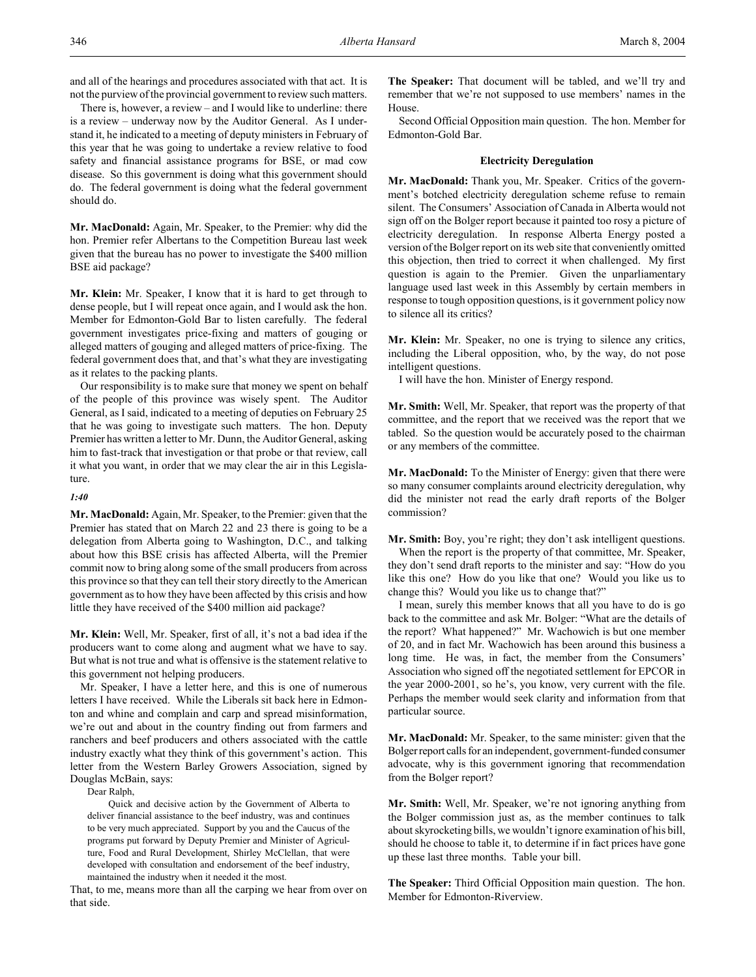and all of the hearings and procedures associated with that act. It is not the purview of the provincial government to review such matters.

There is, however, a review – and I would like to underline: there is a review – underway now by the Auditor General. As I understand it, he indicated to a meeting of deputy ministers in February of this year that he was going to undertake a review relative to food safety and financial assistance programs for BSE, or mad cow disease. So this government is doing what this government should do. The federal government is doing what the federal government should do.

**Mr. MacDonald:** Again, Mr. Speaker, to the Premier: why did the hon. Premier refer Albertans to the Competition Bureau last week given that the bureau has no power to investigate the \$400 million BSE aid package?

**Mr. Klein:** Mr. Speaker, I know that it is hard to get through to dense people, but I will repeat once again, and I would ask the hon. Member for Edmonton-Gold Bar to listen carefully. The federal government investigates price-fixing and matters of gouging or alleged matters of gouging and alleged matters of price-fixing. The federal government does that, and that's what they are investigating as it relates to the packing plants.

Our responsibility is to make sure that money we spent on behalf of the people of this province was wisely spent. The Auditor General, as I said, indicated to a meeting of deputies on February 25 that he was going to investigate such matters. The hon. Deputy Premier has written a letter to Mr. Dunn, the Auditor General, asking him to fast-track that investigation or that probe or that review, call it what you want, in order that we may clear the air in this Legislature.

## *1:40*

**Mr. MacDonald:** Again, Mr. Speaker, to the Premier: given that the Premier has stated that on March 22 and 23 there is going to be a delegation from Alberta going to Washington, D.C., and talking about how this BSE crisis has affected Alberta, will the Premier commit now to bring along some of the small producers from across this province so that they can tell their story directly to the American government as to how they have been affected by this crisis and how little they have received of the \$400 million aid package?

**Mr. Klein:** Well, Mr. Speaker, first of all, it's not a bad idea if the producers want to come along and augment what we have to say. But what is not true and what is offensive is the statement relative to this government not helping producers.

Mr. Speaker, I have a letter here, and this is one of numerous letters I have received. While the Liberals sit back here in Edmonton and whine and complain and carp and spread misinformation, we're out and about in the country finding out from farmers and ranchers and beef producers and others associated with the cattle industry exactly what they think of this government's action. This letter from the Western Barley Growers Association, signed by Douglas McBain, says:

Dear Ralph,

Quick and decisive action by the Government of Alberta to deliver financial assistance to the beef industry, was and continues to be very much appreciated. Support by you and the Caucus of the programs put forward by Deputy Premier and Minister of Agriculture, Food and Rural Development, Shirley McClellan, that were developed with consultation and endorsement of the beef industry, maintained the industry when it needed it the most.

That, to me, means more than all the carping we hear from over on that side.

**The Speaker:** That document will be tabled, and we'll try and remember that we're not supposed to use members' names in the House.

Second Official Opposition main question. The hon. Member for Edmonton-Gold Bar.

# **Electricity Deregulation**

**Mr. MacDonald:** Thank you, Mr. Speaker. Critics of the government's botched electricity deregulation scheme refuse to remain silent. The Consumers' Association of Canada in Alberta would not sign off on the Bolger report because it painted too rosy a picture of electricity deregulation. In response Alberta Energy posted a version of the Bolger report on its web site that conveniently omitted this objection, then tried to correct it when challenged. My first question is again to the Premier. Given the unparliamentary language used last week in this Assembly by certain members in response to tough opposition questions, is it government policy now to silence all its critics?

**Mr. Klein:** Mr. Speaker, no one is trying to silence any critics, including the Liberal opposition, who, by the way, do not pose intelligent questions.

I will have the hon. Minister of Energy respond.

**Mr. Smith:** Well, Mr. Speaker, that report was the property of that committee, and the report that we received was the report that we tabled. So the question would be accurately posed to the chairman or any members of the committee.

**Mr. MacDonald:** To the Minister of Energy: given that there were so many consumer complaints around electricity deregulation, why did the minister not read the early draft reports of the Bolger commission?

**Mr. Smith:** Boy, you're right; they don't ask intelligent questions.

When the report is the property of that committee, Mr. Speaker, they don't send draft reports to the minister and say: "How do you like this one? How do you like that one? Would you like us to change this? Would you like us to change that?"

I mean, surely this member knows that all you have to do is go back to the committee and ask Mr. Bolger: "What are the details of the report? What happened?" Mr. Wachowich is but one member of 20, and in fact Mr. Wachowich has been around this business a long time. He was, in fact, the member from the Consumers' Association who signed off the negotiated settlement for EPCOR in the year 2000-2001, so he's, you know, very current with the file. Perhaps the member would seek clarity and information from that particular source.

**Mr. MacDonald:** Mr. Speaker, to the same minister: given that the Bolger report calls for an independent, government-funded consumer advocate, why is this government ignoring that recommendation from the Bolger report?

**Mr. Smith:** Well, Mr. Speaker, we're not ignoring anything from the Bolger commission just as, as the member continues to talk about skyrocketing bills, we wouldn't ignore examination of his bill, should he choose to table it, to determine if in fact prices have gone up these last three months. Table your bill.

**The Speaker:** Third Official Opposition main question. The hon. Member for Edmonton-Riverview.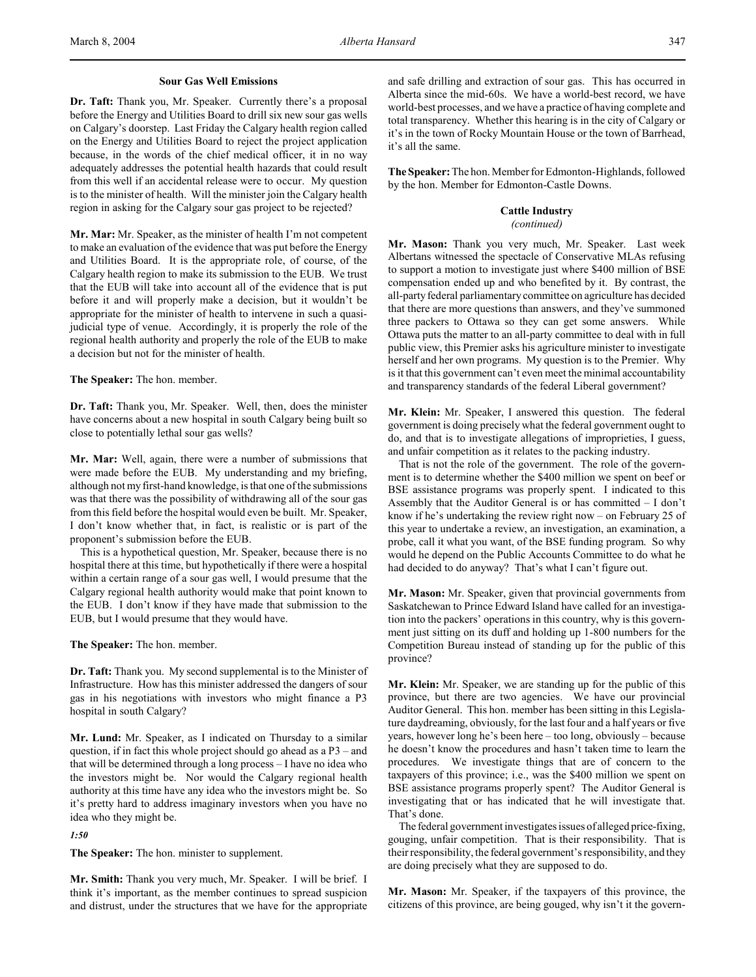# **Sour Gas Well Emissions**

**Dr. Taft:** Thank you, Mr. Speaker. Currently there's a proposal before the Energy and Utilities Board to drill six new sour gas wells on Calgary's doorstep. Last Friday the Calgary health region called on the Energy and Utilities Board to reject the project application because, in the words of the chief medical officer, it in no way adequately addresses the potential health hazards that could result from this well if an accidental release were to occur. My question is to the minister of health. Will the minister join the Calgary health region in asking for the Calgary sour gas project to be rejected?

**Mr. Mar:** Mr. Speaker, as the minister of health I'm not competent to make an evaluation of the evidence that was put before the Energy and Utilities Board. It is the appropriate role, of course, of the Calgary health region to make its submission to the EUB. We trust that the EUB will take into account all of the evidence that is put before it and will properly make a decision, but it wouldn't be appropriate for the minister of health to intervene in such a quasijudicial type of venue. Accordingly, it is properly the role of the regional health authority and properly the role of the EUB to make a decision but not for the minister of health.

**The Speaker:** The hon. member.

**Dr. Taft:** Thank you, Mr. Speaker. Well, then, does the minister have concerns about a new hospital in south Calgary being built so close to potentially lethal sour gas wells?

**Mr. Mar:** Well, again, there were a number of submissions that were made before the EUB. My understanding and my briefing, although not my first-hand knowledge, is that one of the submissions was that there was the possibility of withdrawing all of the sour gas from this field before the hospital would even be built. Mr. Speaker, I don't know whether that, in fact, is realistic or is part of the proponent's submission before the EUB.

This is a hypothetical question, Mr. Speaker, because there is no hospital there at this time, but hypothetically if there were a hospital within a certain range of a sour gas well, I would presume that the Calgary regional health authority would make that point known to the EUB. I don't know if they have made that submission to the EUB, but I would presume that they would have.

**The Speaker:** The hon. member.

**Dr. Taft:** Thank you. My second supplemental is to the Minister of Infrastructure. How has this minister addressed the dangers of sour gas in his negotiations with investors who might finance a P3 hospital in south Calgary?

**Mr. Lund:** Mr. Speaker, as I indicated on Thursday to a similar question, if in fact this whole project should go ahead as a P3 – and that will be determined through a long process – I have no idea who the investors might be. Nor would the Calgary regional health authority at this time have any idea who the investors might be. So it's pretty hard to address imaginary investors when you have no idea who they might be.

# *1:50*

**The Speaker:** The hon. minister to supplement.

**Mr. Smith:** Thank you very much, Mr. Speaker. I will be brief. I think it's important, as the member continues to spread suspicion and distrust, under the structures that we have for the appropriate and safe drilling and extraction of sour gas. This has occurred in Alberta since the mid-60s. We have a world-best record, we have world-best processes, and we have a practice of having complete and total transparency. Whether this hearing is in the city of Calgary or it's in the town of Rocky Mountain House or the town of Barrhead, it's all the same.

**The Speaker:** The hon. Member for Edmonton-Highlands, followed by the hon. Member for Edmonton-Castle Downs.

# **Cattle Industry**

## *(continued)*

**Mr. Mason:** Thank you very much, Mr. Speaker. Last week Albertans witnessed the spectacle of Conservative MLAs refusing to support a motion to investigate just where \$400 million of BSE compensation ended up and who benefited by it. By contrast, the all-party federal parliamentary committee on agriculture has decided that there are more questions than answers, and they've summoned three packers to Ottawa so they can get some answers. While Ottawa puts the matter to an all-party committee to deal with in full public view, this Premier asks his agriculture minister to investigate herself and her own programs. My question is to the Premier. Why is it that this government can't even meet the minimal accountability and transparency standards of the federal Liberal government?

**Mr. Klein:** Mr. Speaker, I answered this question. The federal government is doing precisely what the federal government ought to do, and that is to investigate allegations of improprieties, I guess, and unfair competition as it relates to the packing industry.

That is not the role of the government. The role of the government is to determine whether the \$400 million we spent on beef or BSE assistance programs was properly spent. I indicated to this Assembly that the Auditor General is or has committed – I don't know if he's undertaking the review right now – on February 25 of this year to undertake a review, an investigation, an examination, a probe, call it what you want, of the BSE funding program. So why would he depend on the Public Accounts Committee to do what he had decided to do anyway? That's what I can't figure out.

**Mr. Mason:** Mr. Speaker, given that provincial governments from Saskatchewan to Prince Edward Island have called for an investigation into the packers' operations in this country, why is this government just sitting on its duff and holding up 1-800 numbers for the Competition Bureau instead of standing up for the public of this province?

**Mr. Klein:** Mr. Speaker, we are standing up for the public of this province, but there are two agencies. We have our provincial Auditor General. This hon. member has been sitting in this Legislature daydreaming, obviously, for the last four and a half years or five years, however long he's been here – too long, obviously – because he doesn't know the procedures and hasn't taken time to learn the procedures. We investigate things that are of concern to the taxpayers of this province; i.e., was the \$400 million we spent on BSE assistance programs properly spent? The Auditor General is investigating that or has indicated that he will investigate that. That's done.

The federal government investigates issues of alleged price-fixing, gouging, unfair competition. That is their responsibility. That is their responsibility, the federal government's responsibility, and they are doing precisely what they are supposed to do.

**Mr. Mason:** Mr. Speaker, if the taxpayers of this province, the citizens of this province, are being gouged, why isn't it the govern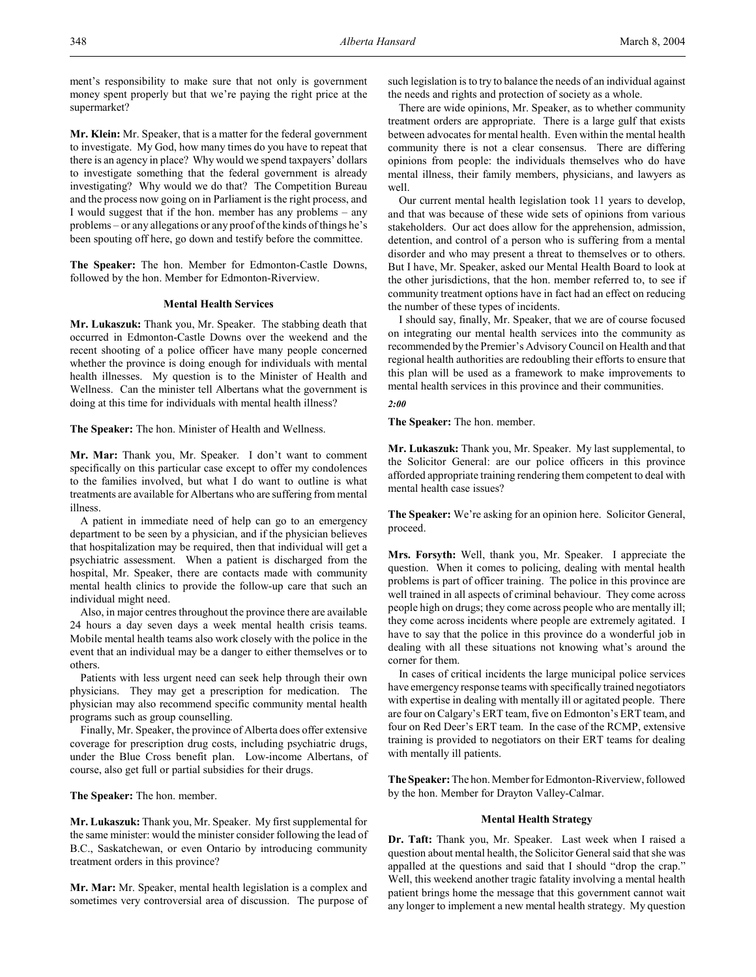ment's responsibility to make sure that not only is government money spent properly but that we're paying the right price at the supermarket?

**Mr. Klein:** Mr. Speaker, that is a matter for the federal government to investigate. My God, how many times do you have to repeat that there is an agency in place? Why would we spend taxpayers' dollars to investigate something that the federal government is already investigating? Why would we do that? The Competition Bureau and the process now going on in Parliament is the right process, and I would suggest that if the hon. member has any problems – any problems – or any allegations or any proof of the kinds of things he's been spouting off here, go down and testify before the committee.

**The Speaker:** The hon. Member for Edmonton-Castle Downs, followed by the hon. Member for Edmonton-Riverview.

#### **Mental Health Services**

**Mr. Lukaszuk:** Thank you, Mr. Speaker. The stabbing death that occurred in Edmonton-Castle Downs over the weekend and the recent shooting of a police officer have many people concerned whether the province is doing enough for individuals with mental health illnesses. My question is to the Minister of Health and Wellness. Can the minister tell Albertans what the government is doing at this time for individuals with mental health illness?

**The Speaker:** The hon. Minister of Health and Wellness.

**Mr. Mar:** Thank you, Mr. Speaker. I don't want to comment specifically on this particular case except to offer my condolences to the families involved, but what I do want to outline is what treatments are available for Albertans who are suffering from mental illness.

A patient in immediate need of help can go to an emergency department to be seen by a physician, and if the physician believes that hospitalization may be required, then that individual will get a psychiatric assessment. When a patient is discharged from the hospital, Mr. Speaker, there are contacts made with community mental health clinics to provide the follow-up care that such an individual might need.

Also, in major centres throughout the province there are available 24 hours a day seven days a week mental health crisis teams. Mobile mental health teams also work closely with the police in the event that an individual may be a danger to either themselves or to others.

Patients with less urgent need can seek help through their own physicians. They may get a prescription for medication. The physician may also recommend specific community mental health programs such as group counselling.

Finally, Mr. Speaker, the province of Alberta does offer extensive coverage for prescription drug costs, including psychiatric drugs, under the Blue Cross benefit plan. Low-income Albertans, of course, also get full or partial subsidies for their drugs.

**The Speaker:** The hon. member.

**Mr. Lukaszuk:** Thank you, Mr. Speaker. My first supplemental for the same minister: would the minister consider following the lead of B.C., Saskatchewan, or even Ontario by introducing community treatment orders in this province?

**Mr. Mar:** Mr. Speaker, mental health legislation is a complex and sometimes very controversial area of discussion. The purpose of such legislation is to try to balance the needs of an individual against the needs and rights and protection of society as a whole.

There are wide opinions, Mr. Speaker, as to whether community treatment orders are appropriate. There is a large gulf that exists between advocates for mental health. Even within the mental health community there is not a clear consensus. There are differing opinions from people: the individuals themselves who do have mental illness, their family members, physicians, and lawyers as well.

Our current mental health legislation took 11 years to develop, and that was because of these wide sets of opinions from various stakeholders. Our act does allow for the apprehension, admission, detention, and control of a person who is suffering from a mental disorder and who may present a threat to themselves or to others. But I have, Mr. Speaker, asked our Mental Health Board to look at the other jurisdictions, that the hon. member referred to, to see if community treatment options have in fact had an effect on reducing the number of these types of incidents.

I should say, finally, Mr. Speaker, that we are of course focused on integrating our mental health services into the community as recommended by the Premier's Advisory Council on Health and that regional health authorities are redoubling their efforts to ensure that this plan will be used as a framework to make improvements to mental health services in this province and their communities.

*2:00*

**The Speaker:** The hon. member.

**Mr. Lukaszuk:** Thank you, Mr. Speaker. My last supplemental, to the Solicitor General: are our police officers in this province afforded appropriate training rendering them competent to deal with mental health case issues?

**The Speaker:** We're asking for an opinion here. Solicitor General, proceed.

**Mrs. Forsyth:** Well, thank you, Mr. Speaker. I appreciate the question. When it comes to policing, dealing with mental health problems is part of officer training. The police in this province are well trained in all aspects of criminal behaviour. They come across people high on drugs; they come across people who are mentally ill; they come across incidents where people are extremely agitated. I have to say that the police in this province do a wonderful job in dealing with all these situations not knowing what's around the corner for them.

In cases of critical incidents the large municipal police services have emergency response teams with specifically trained negotiators with expertise in dealing with mentally ill or agitated people. There are four on Calgary's ERT team, five on Edmonton's ERT team, and four on Red Deer's ERT team. In the case of the RCMP, extensive training is provided to negotiators on their ERT teams for dealing with mentally ill patients.

**The Speaker:** The hon. Member for Edmonton-Riverview, followed by the hon. Member for Drayton Valley-Calmar.

## **Mental Health Strategy**

**Dr. Taft:** Thank you, Mr. Speaker. Last week when I raised a question about mental health, the Solicitor General said that she was appalled at the questions and said that I should "drop the crap." Well, this weekend another tragic fatality involving a mental health patient brings home the message that this government cannot wait any longer to implement a new mental health strategy. My question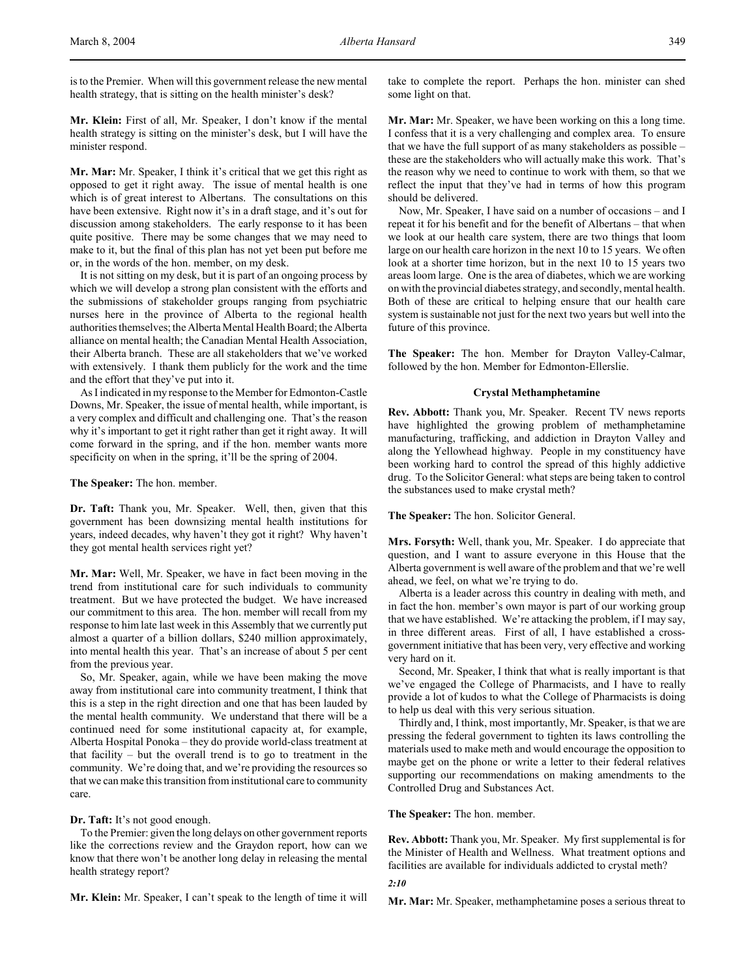is to the Premier. When will this government release the new mental health strategy, that is sitting on the health minister's desk?

**Mr. Klein:** First of all, Mr. Speaker, I don't know if the mental health strategy is sitting on the minister's desk, but I will have the minister respond.

**Mr. Mar:** Mr. Speaker, I think it's critical that we get this right as opposed to get it right away. The issue of mental health is one which is of great interest to Albertans. The consultations on this have been extensive. Right now it's in a draft stage, and it's out for discussion among stakeholders. The early response to it has been quite positive. There may be some changes that we may need to make to it, but the final of this plan has not yet been put before me or, in the words of the hon. member, on my desk.

It is not sitting on my desk, but it is part of an ongoing process by which we will develop a strong plan consistent with the efforts and the submissions of stakeholder groups ranging from psychiatric nurses here in the province of Alberta to the regional health authorities themselves; the Alberta Mental Health Board; the Alberta alliance on mental health; the Canadian Mental Health Association, their Alberta branch. These are all stakeholders that we've worked with extensively. I thank them publicly for the work and the time and the effort that they've put into it.

As I indicated in my response to the Member for Edmonton-Castle Downs, Mr. Speaker, the issue of mental health, while important, is a very complex and difficult and challenging one. That's the reason why it's important to get it right rather than get it right away. It will come forward in the spring, and if the hon. member wants more specificity on when in the spring, it'll be the spring of 2004.

**The Speaker:** The hon. member.

**Dr. Taft:** Thank you, Mr. Speaker. Well, then, given that this government has been downsizing mental health institutions for years, indeed decades, why haven't they got it right? Why haven't they got mental health services right yet?

**Mr. Mar:** Well, Mr. Speaker, we have in fact been moving in the trend from institutional care for such individuals to community treatment. But we have protected the budget. We have increased our commitment to this area. The hon. member will recall from my response to him late last week in this Assembly that we currently put almost a quarter of a billion dollars, \$240 million approximately, into mental health this year. That's an increase of about 5 per cent from the previous year.

So, Mr. Speaker, again, while we have been making the move away from institutional care into community treatment, I think that this is a step in the right direction and one that has been lauded by the mental health community. We understand that there will be a continued need for some institutional capacity at, for example, Alberta Hospital Ponoka – they do provide world-class treatment at that facility – but the overall trend is to go to treatment in the community. We're doing that, and we're providing the resources so that we can make this transition from institutional care to community care.

## **Dr. Taft:** It's not good enough.

To the Premier: given the long delays on other government reports like the corrections review and the Graydon report, how can we know that there won't be another long delay in releasing the mental health strategy report?

**Mr. Klein:** Mr. Speaker, I can't speak to the length of time it will

take to complete the report. Perhaps the hon. minister can shed some light on that.

**Mr. Mar:** Mr. Speaker, we have been working on this a long time. I confess that it is a very challenging and complex area. To ensure that we have the full support of as many stakeholders as possible – these are the stakeholders who will actually make this work. That's the reason why we need to continue to work with them, so that we reflect the input that they've had in terms of how this program should be delivered.

Now, Mr. Speaker, I have said on a number of occasions – and I repeat it for his benefit and for the benefit of Albertans – that when we look at our health care system, there are two things that loom large on our health care horizon in the next 10 to 15 years. We often look at a shorter time horizon, but in the next 10 to 15 years two areas loom large. One is the area of diabetes, which we are working on with the provincial diabetes strategy, and secondly, mental health. Both of these are critical to helping ensure that our health care system is sustainable not just for the next two years but well into the future of this province.

**The Speaker:** The hon. Member for Drayton Valley-Calmar, followed by the hon. Member for Edmonton-Ellerslie.

### **Crystal Methamphetamine**

**Rev. Abbott:** Thank you, Mr. Speaker. Recent TV news reports have highlighted the growing problem of methamphetamine manufacturing, trafficking, and addiction in Drayton Valley and along the Yellowhead highway. People in my constituency have been working hard to control the spread of this highly addictive drug. To the Solicitor General: what steps are being taken to control the substances used to make crystal meth?

**The Speaker:** The hon. Solicitor General.

**Mrs. Forsyth:** Well, thank you, Mr. Speaker. I do appreciate that question, and I want to assure everyone in this House that the Alberta government is well aware of the problem and that we're well ahead, we feel, on what we're trying to do.

Alberta is a leader across this country in dealing with meth, and in fact the hon. member's own mayor is part of our working group that we have established. We're attacking the problem, if I may say, in three different areas. First of all, I have established a crossgovernment initiative that has been very, very effective and working very hard on it.

Second, Mr. Speaker, I think that what is really important is that we've engaged the College of Pharmacists, and I have to really provide a lot of kudos to what the College of Pharmacists is doing to help us deal with this very serious situation.

Thirdly and, I think, most importantly, Mr. Speaker, is that we are pressing the federal government to tighten its laws controlling the materials used to make meth and would encourage the opposition to maybe get on the phone or write a letter to their federal relatives supporting our recommendations on making amendments to the Controlled Drug and Substances Act.

## **The Speaker:** The hon. member.

**Rev. Abbott:** Thank you, Mr. Speaker. My first supplemental is for the Minister of Health and Wellness. What treatment options and facilities are available for individuals addicted to crystal meth?

# *2:10*

**Mr. Mar:** Mr. Speaker, methamphetamine poses a serious threat to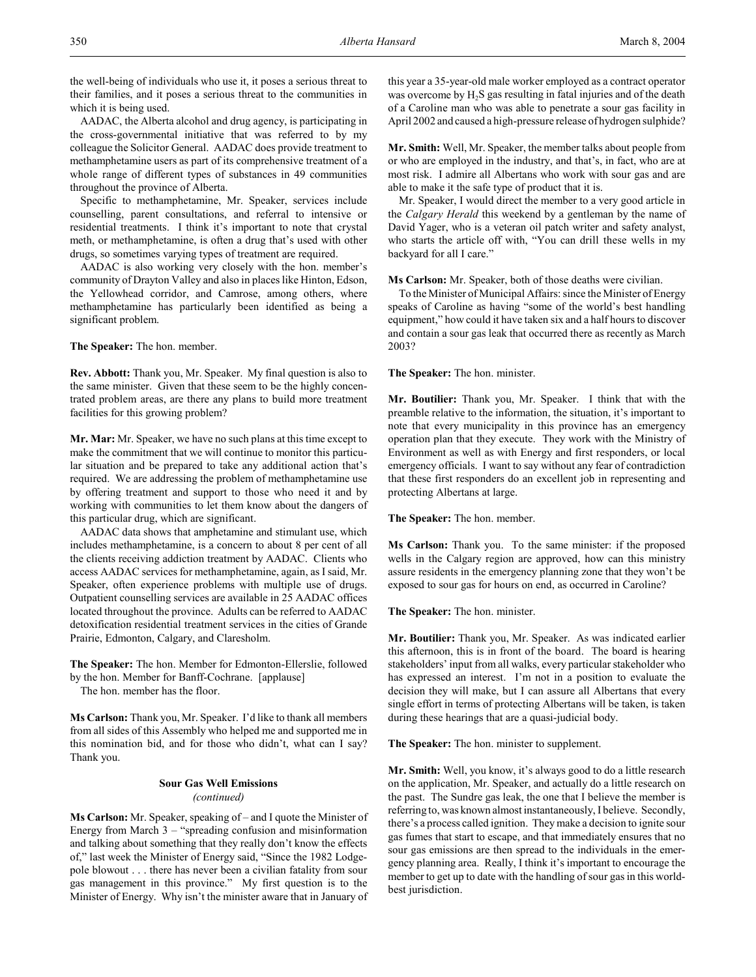the well-being of individuals who use it, it poses a serious threat to their families, and it poses a serious threat to the communities in which it is being used.

AADAC, the Alberta alcohol and drug agency, is participating in the cross-governmental initiative that was referred to by my colleague the Solicitor General. AADAC does provide treatment to methamphetamine users as part of its comprehensive treatment of a whole range of different types of substances in 49 communities throughout the province of Alberta.

Specific to methamphetamine, Mr. Speaker, services include counselling, parent consultations, and referral to intensive or residential treatments. I think it's important to note that crystal meth, or methamphetamine, is often a drug that's used with other drugs, so sometimes varying types of treatment are required.

AADAC is also working very closely with the hon. member's community of Drayton Valley and also in places like Hinton, Edson, the Yellowhead corridor, and Camrose, among others, where methamphetamine has particularly been identified as being a significant problem.

**The Speaker:** The hon. member.

**Rev. Abbott:** Thank you, Mr. Speaker. My final question is also to the same minister. Given that these seem to be the highly concentrated problem areas, are there any plans to build more treatment facilities for this growing problem?

**Mr. Mar:** Mr. Speaker, we have no such plans at this time except to make the commitment that we will continue to monitor this particular situation and be prepared to take any additional action that's required. We are addressing the problem of methamphetamine use by offering treatment and support to those who need it and by working with communities to let them know about the dangers of this particular drug, which are significant.

AADAC data shows that amphetamine and stimulant use, which includes methamphetamine, is a concern to about 8 per cent of all the clients receiving addiction treatment by AADAC. Clients who access AADAC services for methamphetamine, again, as I said, Mr. Speaker, often experience problems with multiple use of drugs. Outpatient counselling services are available in 25 AADAC offices located throughout the province. Adults can be referred to AADAC detoxification residential treatment services in the cities of Grande Prairie, Edmonton, Calgary, and Claresholm.

**The Speaker:** The hon. Member for Edmonton-Ellerslie, followed by the hon. Member for Banff-Cochrane. [applause]

The hon. member has the floor.

**Ms Carlson:** Thank you, Mr. Speaker. I'd like to thank all members from all sides of this Assembly who helped me and supported me in this nomination bid, and for those who didn't, what can I say? Thank you.

## **Sour Gas Well Emissions** *(continued)*

**Ms Carlson:** Mr. Speaker, speaking of – and I quote the Minister of Energy from March 3 – "spreading confusion and misinformation and talking about something that they really don't know the effects of," last week the Minister of Energy said, "Since the 1982 Lodgepole blowout . . . there has never been a civilian fatality from sour gas management in this province." My first question is to the Minister of Energy. Why isn't the minister aware that in January of this year a 35-year-old male worker employed as a contract operator was overcome by H<sub>2</sub>S gas resulting in fatal injuries and of the death of a Caroline man who was able to penetrate a sour gas facility in April 2002 and caused a high-pressure release of hydrogen sulphide?

**Mr. Smith:** Well, Mr. Speaker, the member talks about people from or who are employed in the industry, and that's, in fact, who are at most risk. I admire all Albertans who work with sour gas and are able to make it the safe type of product that it is.

Mr. Speaker, I would direct the member to a very good article in the *Calgary Herald* this weekend by a gentleman by the name of David Yager, who is a veteran oil patch writer and safety analyst, who starts the article off with, "You can drill these wells in my backyard for all I care."

**Ms Carlson:** Mr. Speaker, both of those deaths were civilian.

To the Minister of Municipal Affairs: since the Minister of Energy speaks of Caroline as having "some of the world's best handling equipment," how could it have taken six and a half hours to discover and contain a sour gas leak that occurred there as recently as March 2003?

**The Speaker:** The hon. minister.

**Mr. Boutilier:** Thank you, Mr. Speaker. I think that with the preamble relative to the information, the situation, it's important to note that every municipality in this province has an emergency operation plan that they execute. They work with the Ministry of Environment as well as with Energy and first responders, or local emergency officials. I want to say without any fear of contradiction that these first responders do an excellent job in representing and protecting Albertans at large.

**The Speaker:** The hon. member.

**Ms Carlson:** Thank you. To the same minister: if the proposed wells in the Calgary region are approved, how can this ministry assure residents in the emergency planning zone that they won't be exposed to sour gas for hours on end, as occurred in Caroline?

**The Speaker:** The hon. minister.

**Mr. Boutilier:** Thank you, Mr. Speaker. As was indicated earlier this afternoon, this is in front of the board. The board is hearing stakeholders' input from all walks, every particular stakeholder who has expressed an interest. I'm not in a position to evaluate the decision they will make, but I can assure all Albertans that every single effort in terms of protecting Albertans will be taken, is taken during these hearings that are a quasi-judicial body.

**The Speaker:** The hon. minister to supplement.

**Mr. Smith:** Well, you know, it's always good to do a little research on the application, Mr. Speaker, and actually do a little research on the past. The Sundre gas leak, the one that I believe the member is referring to, was known almost instantaneously, I believe. Secondly, there's a process called ignition. They make a decision to ignite sour gas fumes that start to escape, and that immediately ensures that no sour gas emissions are then spread to the individuals in the emergency planning area. Really, I think it's important to encourage the member to get up to date with the handling of sour gas in this worldbest jurisdiction.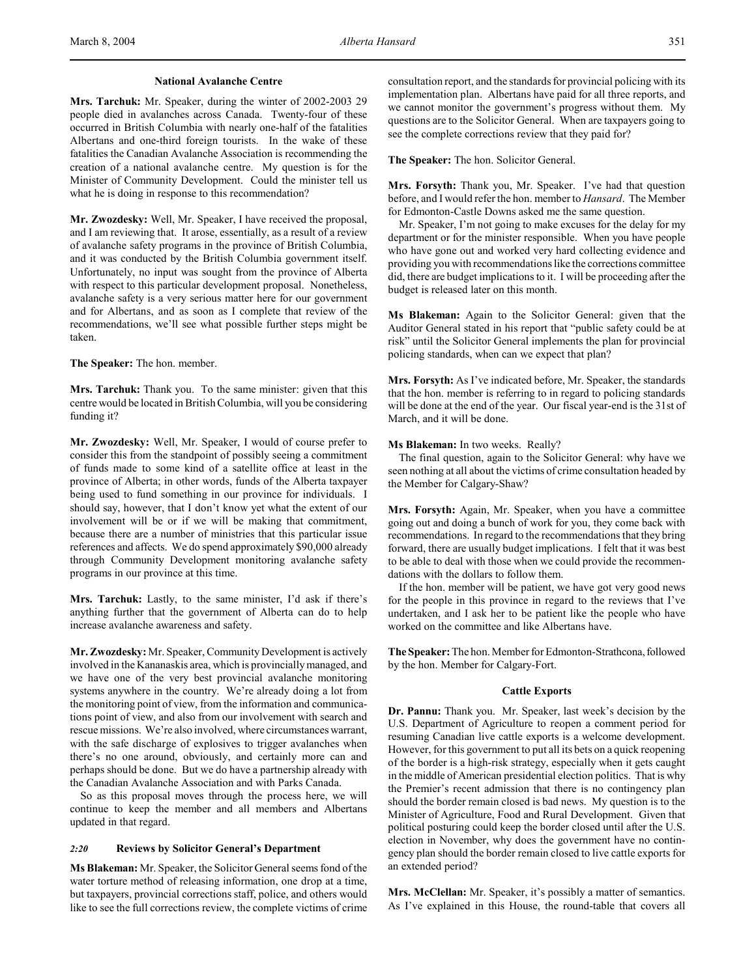#### **National Avalanche Centre**

**Mrs. Tarchuk:** Mr. Speaker, during the winter of 2002-2003 29 people died in avalanches across Canada. Twenty-four of these occurred in British Columbia with nearly one-half of the fatalities Albertans and one-third foreign tourists. In the wake of these fatalities the Canadian Avalanche Association is recommending the creation of a national avalanche centre. My question is for the Minister of Community Development. Could the minister tell us what he is doing in response to this recommendation?

**Mr. Zwozdesky:** Well, Mr. Speaker, I have received the proposal, and I am reviewing that. It arose, essentially, as a result of a review of avalanche safety programs in the province of British Columbia, and it was conducted by the British Columbia government itself. Unfortunately, no input was sought from the province of Alberta with respect to this particular development proposal. Nonetheless, avalanche safety is a very serious matter here for our government and for Albertans, and as soon as I complete that review of the recommendations, we'll see what possible further steps might be taken.

**The Speaker:** The hon. member.

**Mrs. Tarchuk:** Thank you. To the same minister: given that this centre would be located in British Columbia, will you be considering funding it?

**Mr. Zwozdesky:** Well, Mr. Speaker, I would of course prefer to consider this from the standpoint of possibly seeing a commitment of funds made to some kind of a satellite office at least in the province of Alberta; in other words, funds of the Alberta taxpayer being used to fund something in our province for individuals. I should say, however, that I don't know yet what the extent of our involvement will be or if we will be making that commitment, because there are a number of ministries that this particular issue references and affects. We do spend approximately \$90,000 already through Community Development monitoring avalanche safety programs in our province at this time.

**Mrs. Tarchuk:** Lastly, to the same minister, I'd ask if there's anything further that the government of Alberta can do to help increase avalanche awareness and safety.

**Mr. Zwozdesky:** Mr. Speaker, Community Development is actively involved in the Kananaskis area, which is provincially managed, and we have one of the very best provincial avalanche monitoring systems anywhere in the country. We're already doing a lot from the monitoring point of view, from the information and communications point of view, and also from our involvement with search and rescue missions. We're also involved, where circumstances warrant, with the safe discharge of explosives to trigger avalanches when there's no one around, obviously, and certainly more can and perhaps should be done. But we do have a partnership already with the Canadian Avalanche Association and with Parks Canada.

So as this proposal moves through the process here, we will continue to keep the member and all members and Albertans updated in that regard.

## *2:20* **Reviews by Solicitor General's Department**

**Ms Blakeman:** Mr. Speaker, the Solicitor General seems fond of the water torture method of releasing information, one drop at a time, but taxpayers, provincial corrections staff, police, and others would like to see the full corrections review, the complete victims of crime

consultation report, and the standards for provincial policing with its implementation plan. Albertans have paid for all three reports, and we cannot monitor the government's progress without them. My questions are to the Solicitor General. When are taxpayers going to see the complete corrections review that they paid for?

**The Speaker:** The hon. Solicitor General.

**Mrs. Forsyth:** Thank you, Mr. Speaker. I've had that question before, and I would refer the hon. member to *Hansard*. The Member for Edmonton-Castle Downs asked me the same question.

Mr. Speaker, I'm not going to make excuses for the delay for my department or for the minister responsible. When you have people who have gone out and worked very hard collecting evidence and providing you with recommendations like the corrections committee did, there are budget implications to it. I will be proceeding after the budget is released later on this month.

**Ms Blakeman:** Again to the Solicitor General: given that the Auditor General stated in his report that "public safety could be at risk" until the Solicitor General implements the plan for provincial policing standards, when can we expect that plan?

**Mrs. Forsyth:** As I've indicated before, Mr. Speaker, the standards that the hon. member is referring to in regard to policing standards will be done at the end of the year. Our fiscal year-end is the 31st of March, and it will be done.

**Ms Blakeman:** In two weeks. Really?

The final question, again to the Solicitor General: why have we seen nothing at all about the victims of crime consultation headed by the Member for Calgary-Shaw?

**Mrs. Forsyth:** Again, Mr. Speaker, when you have a committee going out and doing a bunch of work for you, they come back with recommendations. In regard to the recommendations that they bring forward, there are usually budget implications. I felt that it was best to be able to deal with those when we could provide the recommendations with the dollars to follow them.

If the hon. member will be patient, we have got very good news for the people in this province in regard to the reviews that I've undertaken, and I ask her to be patient like the people who have worked on the committee and like Albertans have.

**The Speaker:** The hon. Member for Edmonton-Strathcona, followed by the hon. Member for Calgary-Fort.

### **Cattle Exports**

**Dr. Pannu:** Thank you. Mr. Speaker, last week's decision by the U.S. Department of Agriculture to reopen a comment period for resuming Canadian live cattle exports is a welcome development. However, for this government to put all its bets on a quick reopening of the border is a high-risk strategy, especially when it gets caught in the middle of American presidential election politics. That is why the Premier's recent admission that there is no contingency plan should the border remain closed is bad news. My question is to the Minister of Agriculture, Food and Rural Development. Given that political posturing could keep the border closed until after the U.S. election in November, why does the government have no contingency plan should the border remain closed to live cattle exports for an extended period?

**Mrs. McClellan:** Mr. Speaker, it's possibly a matter of semantics. As I've explained in this House, the round-table that covers all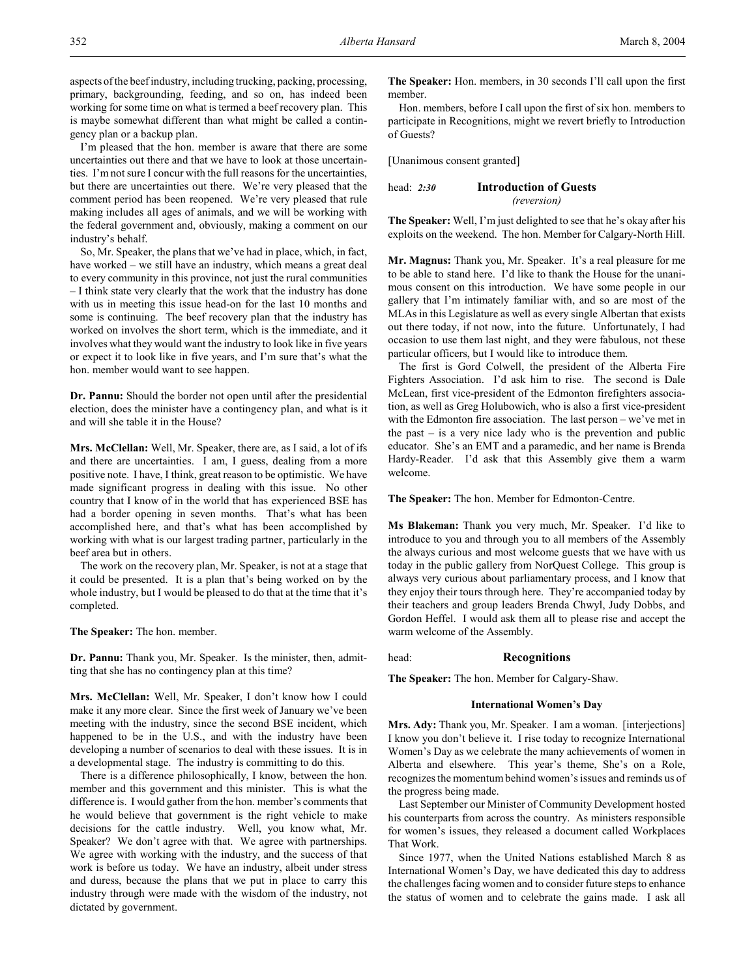I'm pleased that the hon. member is aware that there are some uncertainties out there and that we have to look at those uncertainties. I'm not sure I concur with the full reasons for the uncertainties, but there are uncertainties out there. We're very pleased that the comment period has been reopened. We're very pleased that rule making includes all ages of animals, and we will be working with the federal government and, obviously, making a comment on our industry's behalf.

So, Mr. Speaker, the plans that we've had in place, which, in fact, have worked – we still have an industry, which means a great deal to every community in this province, not just the rural communities – I think state very clearly that the work that the industry has done with us in meeting this issue head-on for the last 10 months and some is continuing. The beef recovery plan that the industry has worked on involves the short term, which is the immediate, and it involves what they would want the industry to look like in five years or expect it to look like in five years, and I'm sure that's what the hon. member would want to see happen.

**Dr. Pannu:** Should the border not open until after the presidential election, does the minister have a contingency plan, and what is it and will she table it in the House?

**Mrs. McClellan:** Well, Mr. Speaker, there are, as I said, a lot of ifs and there are uncertainties. I am, I guess, dealing from a more positive note. I have, I think, great reason to be optimistic. We have made significant progress in dealing with this issue. No other country that I know of in the world that has experienced BSE has had a border opening in seven months. That's what has been accomplished here, and that's what has been accomplished by working with what is our largest trading partner, particularly in the beef area but in others.

The work on the recovery plan, Mr. Speaker, is not at a stage that it could be presented. It is a plan that's being worked on by the whole industry, but I would be pleased to do that at the time that it's completed.

**The Speaker:** The hon. member.

**Dr. Pannu:** Thank you, Mr. Speaker. Is the minister, then, admitting that she has no contingency plan at this time?

**Mrs. McClellan:** Well, Mr. Speaker, I don't know how I could make it any more clear. Since the first week of January we've been meeting with the industry, since the second BSE incident, which happened to be in the U.S., and with the industry have been developing a number of scenarios to deal with these issues. It is in a developmental stage. The industry is committing to do this.

There is a difference philosophically, I know, between the hon. member and this government and this minister. This is what the difference is. I would gather from the hon. member's comments that he would believe that government is the right vehicle to make decisions for the cattle industry. Well, you know what, Mr. Speaker? We don't agree with that. We agree with partnerships. We agree with working with the industry, and the success of that work is before us today. We have an industry, albeit under stress and duress, because the plans that we put in place to carry this industry through were made with the wisdom of the industry, not dictated by government.

**The Speaker:** Hon. members, in 30 seconds I'll call upon the first member.

Hon. members, before I call upon the first of six hon. members to participate in Recognitions, might we revert briefly to Introduction of Guests?

[Unanimous consent granted]

| head: $2:30$ | <b>Introduction of Guests</b> |
|--------------|-------------------------------|
|              | <i>(reversion)</i>            |

**The Speaker:** Well, I'm just delighted to see that he's okay after his exploits on the weekend. The hon. Member for Calgary-North Hill.

**Mr. Magnus:** Thank you, Mr. Speaker. It's a real pleasure for me to be able to stand here. I'd like to thank the House for the unanimous consent on this introduction. We have some people in our gallery that I'm intimately familiar with, and so are most of the MLAs in this Legislature as well as every single Albertan that exists out there today, if not now, into the future. Unfortunately, I had occasion to use them last night, and they were fabulous, not these particular officers, but I would like to introduce them.

The first is Gord Colwell, the president of the Alberta Fire Fighters Association. I'd ask him to rise. The second is Dale McLean, first vice-president of the Edmonton firefighters association, as well as Greg Holubowich, who is also a first vice-president with the Edmonton fire association. The last person – we've met in the past – is a very nice lady who is the prevention and public educator. She's an EMT and a paramedic, and her name is Brenda Hardy-Reader. I'd ask that this Assembly give them a warm welcome.

**The Speaker:** The hon. Member for Edmonton-Centre.

**Ms Blakeman:** Thank you very much, Mr. Speaker. I'd like to introduce to you and through you to all members of the Assembly the always curious and most welcome guests that we have with us today in the public gallery from NorQuest College. This group is always very curious about parliamentary process, and I know that they enjoy their tours through here. They're accompanied today by their teachers and group leaders Brenda Chwyl, Judy Dobbs, and Gordon Heffel. I would ask them all to please rise and accept the warm welcome of the Assembly.

head: **Recognitions**

**The Speaker:** The hon. Member for Calgary-Shaw.

## **International Women's Day**

**Mrs. Ady:** Thank you, Mr. Speaker. I am a woman. [interjections] I know you don't believe it. I rise today to recognize International Women's Day as we celebrate the many achievements of women in Alberta and elsewhere. This year's theme, She's on a Role, recognizes the momentum behind women's issues and reminds us of the progress being made.

Last September our Minister of Community Development hosted his counterparts from across the country. As ministers responsible for women's issues, they released a document called Workplaces That Work.

Since 1977, when the United Nations established March 8 as International Women's Day, we have dedicated this day to address the challenges facing women and to consider future steps to enhance the status of women and to celebrate the gains made. I ask all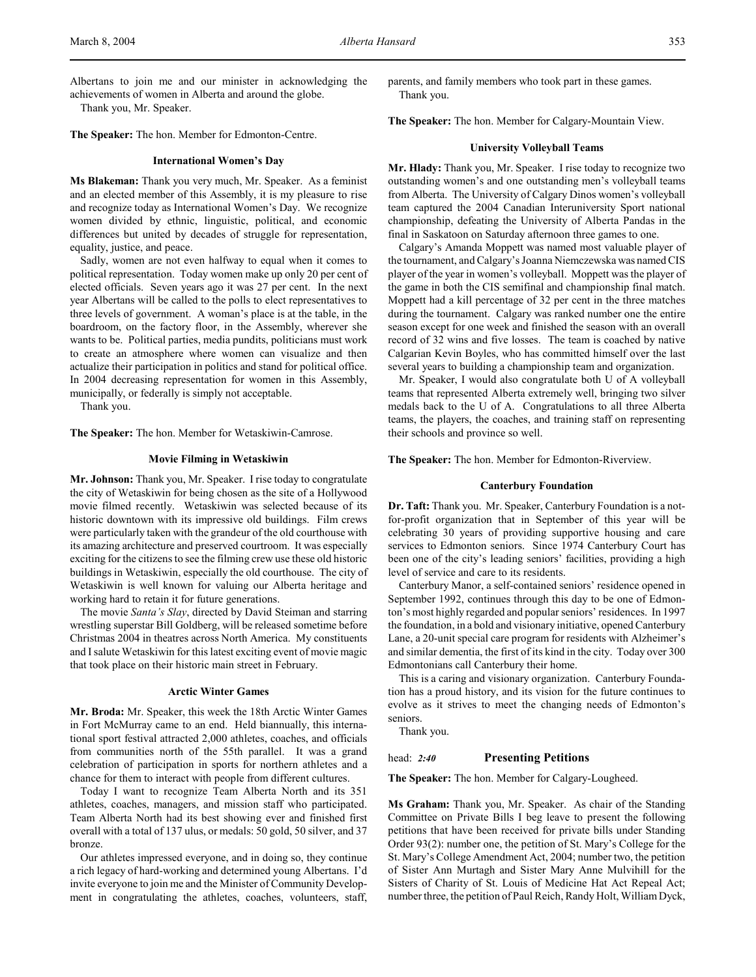Albertans to join me and our minister in acknowledging the achievements of women in Alberta and around the globe.

Thank you, Mr. Speaker.

**The Speaker:** The hon. Member for Edmonton-Centre.

#### **International Women's Day**

**Ms Blakeman:** Thank you very much, Mr. Speaker. As a feminist and an elected member of this Assembly, it is my pleasure to rise and recognize today as International Women's Day. We recognize women divided by ethnic, linguistic, political, and economic differences but united by decades of struggle for representation, equality, justice, and peace.

Sadly, women are not even halfway to equal when it comes to political representation. Today women make up only 20 per cent of elected officials. Seven years ago it was 27 per cent. In the next year Albertans will be called to the polls to elect representatives to three levels of government. A woman's place is at the table, in the boardroom, on the factory floor, in the Assembly, wherever she wants to be. Political parties, media pundits, politicians must work to create an atmosphere where women can visualize and then actualize their participation in politics and stand for political office. In 2004 decreasing representation for women in this Assembly, municipally, or federally is simply not acceptable.

Thank you.

**The Speaker:** The hon. Member for Wetaskiwin-Camrose.

## **Movie Filming in Wetaskiwin**

**Mr. Johnson:** Thank you, Mr. Speaker. I rise today to congratulate the city of Wetaskiwin for being chosen as the site of a Hollywood movie filmed recently. Wetaskiwin was selected because of its historic downtown with its impressive old buildings. Film crews were particularly taken with the grandeur of the old courthouse with its amazing architecture and preserved courtroom. It was especially exciting for the citizens to see the filming crew use these old historic buildings in Wetaskiwin, especially the old courthouse. The city of Wetaskiwin is well known for valuing our Alberta heritage and working hard to retain it for future generations.

The movie *Santa's Slay*, directed by David Steiman and starring wrestling superstar Bill Goldberg, will be released sometime before Christmas 2004 in theatres across North America. My constituents and I salute Wetaskiwin for this latest exciting event of movie magic that took place on their historic main street in February.

#### **Arctic Winter Games**

**Mr. Broda:** Mr. Speaker, this week the 18th Arctic Winter Games in Fort McMurray came to an end. Held biannually, this international sport festival attracted 2,000 athletes, coaches, and officials from communities north of the 55th parallel. It was a grand celebration of participation in sports for northern athletes and a chance for them to interact with people from different cultures.

Today I want to recognize Team Alberta North and its 351 athletes, coaches, managers, and mission staff who participated. Team Alberta North had its best showing ever and finished first overall with a total of 137 ulus, or medals: 50 gold, 50 silver, and 37 bronze.

Our athletes impressed everyone, and in doing so, they continue a rich legacy of hard-working and determined young Albertans. I'd invite everyone to join me and the Minister of Community Development in congratulating the athletes, coaches, volunteers, staff,

parents, and family members who took part in these games. Thank you.

**The Speaker:** The hon. Member for Calgary-Mountain View.

#### **University Volleyball Teams**

**Mr. Hlady:** Thank you, Mr. Speaker. I rise today to recognize two outstanding women's and one outstanding men's volleyball teams from Alberta. The University of Calgary Dinos women's volleyball team captured the 2004 Canadian Interuniversity Sport national championship, defeating the University of Alberta Pandas in the final in Saskatoon on Saturday afternoon three games to one.

Calgary's Amanda Moppett was named most valuable player of the tournament, and Calgary's Joanna Niemczewska was named CIS player of the year in women's volleyball. Moppett was the player of the game in both the CIS semifinal and championship final match. Moppett had a kill percentage of 32 per cent in the three matches during the tournament. Calgary was ranked number one the entire season except for one week and finished the season with an overall record of 32 wins and five losses. The team is coached by native Calgarian Kevin Boyles, who has committed himself over the last several years to building a championship team and organization.

Mr. Speaker, I would also congratulate both U of A volleyball teams that represented Alberta extremely well, bringing two silver medals back to the U of A. Congratulations to all three Alberta teams, the players, the coaches, and training staff on representing their schools and province so well.

**The Speaker:** The hon. Member for Edmonton-Riverview.

#### **Canterbury Foundation**

**Dr. Taft:** Thank you. Mr. Speaker, Canterbury Foundation is a notfor-profit organization that in September of this year will be celebrating 30 years of providing supportive housing and care services to Edmonton seniors. Since 1974 Canterbury Court has been one of the city's leading seniors' facilities, providing a high level of service and care to its residents.

Canterbury Manor, a self-contained seniors' residence opened in September 1992, continues through this day to be one of Edmonton's most highly regarded and popular seniors' residences. In 1997 the foundation, in a bold and visionary initiative, opened Canterbury Lane, a 20-unit special care program for residents with Alzheimer's and similar dementia, the first of its kind in the city. Today over 300 Edmontonians call Canterbury their home.

This is a caring and visionary organization. Canterbury Foundation has a proud history, and its vision for the future continues to evolve as it strives to meet the changing needs of Edmonton's seniors.

Thank you.

#### head: *2:40* **Presenting Petitions**

**The Speaker:** The hon. Member for Calgary-Lougheed.

**Ms Graham:** Thank you, Mr. Speaker. As chair of the Standing Committee on Private Bills I beg leave to present the following petitions that have been received for private bills under Standing Order 93(2): number one, the petition of St. Mary's College for the St. Mary's College Amendment Act, 2004; number two, the petition of Sister Ann Murtagh and Sister Mary Anne Mulvihill for the Sisters of Charity of St. Louis of Medicine Hat Act Repeal Act; number three, the petition of Paul Reich, Randy Holt, William Dyck,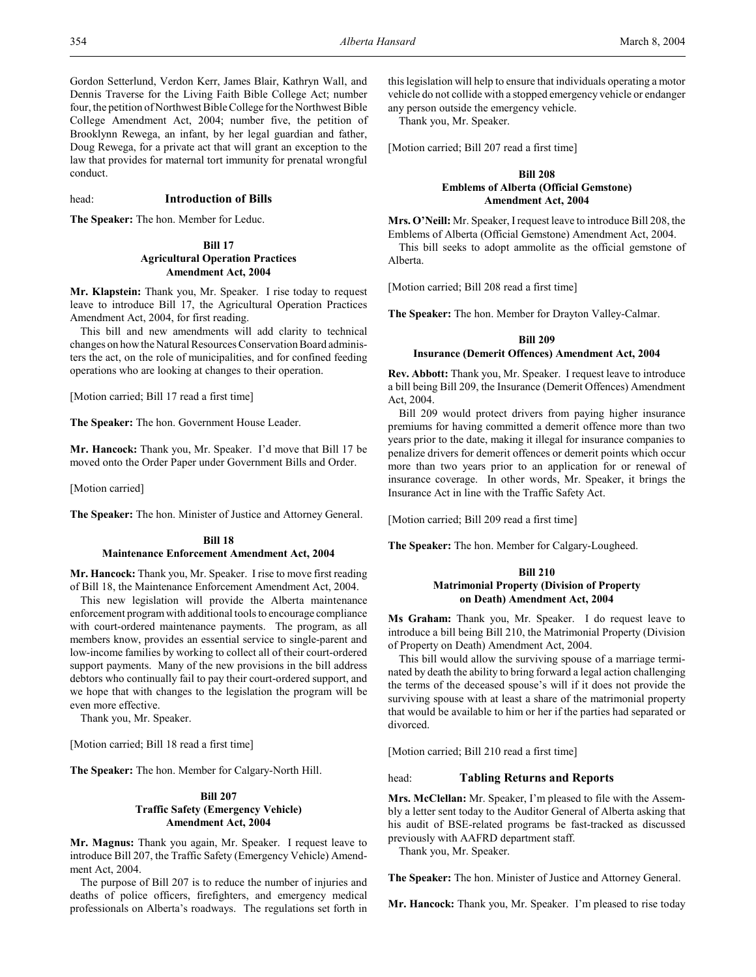Alberta.

Gordon Setterlund, Verdon Kerr, James Blair, Kathryn Wall, and Dennis Traverse for the Living Faith Bible College Act; number four, the petition of Northwest Bible College for the Northwest Bible College Amendment Act, 2004; number five, the petition of Brooklynn Rewega, an infant, by her legal guardian and father, Doug Rewega, for a private act that will grant an exception to the law that provides for maternal tort immunity for prenatal wrongful conduct.

## head: **Introduction of Bills**

**The Speaker:** The hon. Member for Leduc.

# **Bill 17**

# **Agricultural Operation Practices Amendment Act, 2004**

**Mr. Klapstein:** Thank you, Mr. Speaker. I rise today to request leave to introduce Bill 17, the Agricultural Operation Practices Amendment Act, 2004, for first reading.

This bill and new amendments will add clarity to technical changes on how the Natural Resources Conservation Board administers the act, on the role of municipalities, and for confined feeding operations who are looking at changes to their operation.

[Motion carried; Bill 17 read a first time]

**The Speaker:** The hon. Government House Leader.

**Mr. Hancock:** Thank you, Mr. Speaker. I'd move that Bill 17 be moved onto the Order Paper under Government Bills and Order.

[Motion carried]

**The Speaker:** The hon. Minister of Justice and Attorney General.

## **Bill 18 Maintenance Enforcement Amendment Act, 2004**

**Mr. Hancock:** Thank you, Mr. Speaker. I rise to move first reading of Bill 18, the Maintenance Enforcement Amendment Act, 2004.

This new legislation will provide the Alberta maintenance enforcement program with additional tools to encourage compliance with court-ordered maintenance payments. The program, as all members know, provides an essential service to single-parent and low-income families by working to collect all of their court-ordered support payments. Many of the new provisions in the bill address debtors who continually fail to pay their court-ordered support, and we hope that with changes to the legislation the program will be even more effective.

Thank you, Mr. Speaker.

[Motion carried; Bill 18 read a first time]

**The Speaker:** The hon. Member for Calgary-North Hill.

## **Bill 207 Traffic Safety (Emergency Vehicle) Amendment Act, 2004**

**Mr. Magnus:** Thank you again, Mr. Speaker. I request leave to introduce Bill 207, the Traffic Safety (Emergency Vehicle) Amendment Act, 2004.

The purpose of Bill 207 is to reduce the number of injuries and deaths of police officers, firefighters, and emergency medical professionals on Alberta's roadways. The regulations set forth in this legislation will help to ensure that individuals operating a motor vehicle do not collide with a stopped emergency vehicle or endanger any person outside the emergency vehicle.

Thank you, Mr. Speaker.

[Motion carried; Bill 207 read a first time]

# **Bill 208 Emblems of Alberta (Official Gemstone) Amendment Act, 2004**

**Mrs. O'Neill:** Mr. Speaker, I request leave to introduce Bill 208, the Emblems of Alberta (Official Gemstone) Amendment Act, 2004. This bill seeks to adopt ammolite as the official gemstone of

[Motion carried; Bill 208 read a first time]

**The Speaker:** The hon. Member for Drayton Valley-Calmar.

#### **Bill 209**

### **Insurance (Demerit Offences) Amendment Act, 2004**

**Rev. Abbott:** Thank you, Mr. Speaker. I request leave to introduce a bill being Bill 209, the Insurance (Demerit Offences) Amendment Act, 2004.

Bill 209 would protect drivers from paying higher insurance premiums for having committed a demerit offence more than two years prior to the date, making it illegal for insurance companies to penalize drivers for demerit offences or demerit points which occur more than two years prior to an application for or renewal of insurance coverage. In other words, Mr. Speaker, it brings the Insurance Act in line with the Traffic Safety Act.

[Motion carried; Bill 209 read a first time]

**The Speaker:** The hon. Member for Calgary-Lougheed.

## **Bill 210 Matrimonial Property (Division of Property on Death) Amendment Act, 2004**

**Ms Graham:** Thank you, Mr. Speaker. I do request leave to introduce a bill being Bill 210, the Matrimonial Property (Division of Property on Death) Amendment Act, 2004.

This bill would allow the surviving spouse of a marriage terminated by death the ability to bring forward a legal action challenging the terms of the deceased spouse's will if it does not provide the surviving spouse with at least a share of the matrimonial property that would be available to him or her if the parties had separated or divorced.

[Motion carried; Bill 210 read a first time]

## head: **Tabling Returns and Reports**

**Mrs. McClellan:** Mr. Speaker, I'm pleased to file with the Assembly a letter sent today to the Auditor General of Alberta asking that his audit of BSE-related programs be fast-tracked as discussed previously with AAFRD department staff.

Thank you, Mr. Speaker.

**The Speaker:** The hon. Minister of Justice and Attorney General.

**Mr. Hancock:** Thank you, Mr. Speaker. I'm pleased to rise today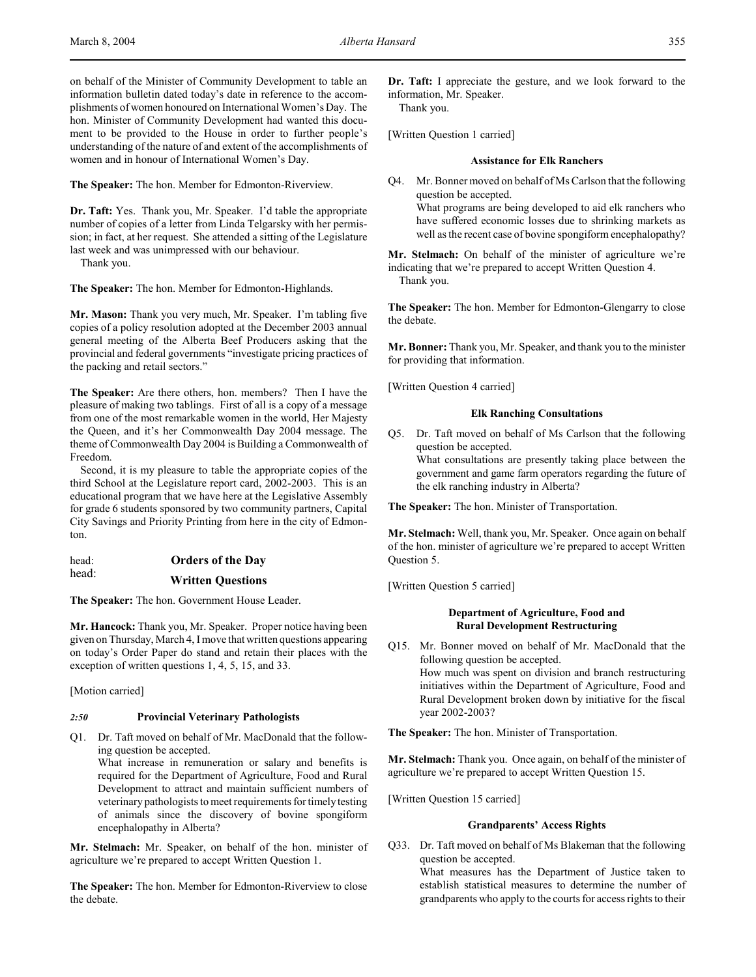on behalf of the Minister of Community Development to table an information bulletin dated today's date in reference to the accomplishments of women honoured on International Women's Day. The hon. Minister of Community Development had wanted this document to be provided to the House in order to further people's understanding of the nature of and extent of the accomplishments of women and in honour of International Women's Day.

**The Speaker:** The hon. Member for Edmonton-Riverview.

**Dr. Taft:** Yes. Thank you, Mr. Speaker. I'd table the appropriate number of copies of a letter from Linda Telgarsky with her permission; in fact, at her request. She attended a sitting of the Legislature last week and was unimpressed with our behaviour.

Thank you.

**The Speaker:** The hon. Member for Edmonton-Highlands.

**Mr. Mason:** Thank you very much, Mr. Speaker. I'm tabling five copies of a policy resolution adopted at the December 2003 annual general meeting of the Alberta Beef Producers asking that the provincial and federal governments "investigate pricing practices of the packing and retail sectors."

**The Speaker:** Are there others, hon. members? Then I have the pleasure of making two tablings. First of all is a copy of a message from one of the most remarkable women in the world, Her Majesty the Queen, and it's her Commonwealth Day 2004 message. The theme of Commonwealth Day 2004 is Building a Commonwealth of Freedom.

Second, it is my pleasure to table the appropriate copies of the third School at the Legislature report card, 2002-2003. This is an educational program that we have here at the Legislative Assembly for grade 6 students sponsored by two community partners, Capital City Savings and Priority Printing from here in the city of Edmonton.

| head: | <b>Orders of the Day</b> |
|-------|--------------------------|
| head: | <b>Written Questions</b> |

**The Speaker:** The hon. Government House Leader.

**Mr. Hancock:** Thank you, Mr. Speaker. Proper notice having been given on Thursday, March 4, I move that written questions appearing on today's Order Paper do stand and retain their places with the exception of written questions 1, 4, 5, 15, and 33.

[Motion carried]

## *2:50* **Provincial Veterinary Pathologists**

Q1. Dr. Taft moved on behalf of Mr. MacDonald that the following question be accepted.

What increase in remuneration or salary and benefits is required for the Department of Agriculture, Food and Rural Development to attract and maintain sufficient numbers of veterinary pathologists to meet requirements for timely testing of animals since the discovery of bovine spongiform encephalopathy in Alberta?

**Mr. Stelmach:** Mr. Speaker, on behalf of the hon. minister of agriculture we're prepared to accept Written Question 1.

**The Speaker:** The hon. Member for Edmonton-Riverview to close the debate.

**Dr. Taft:** I appreciate the gesture, and we look forward to the information, Mr. Speaker.

Thank you.

[Written Question 1 carried]

# **Assistance for Elk Ranchers**

Q4. Mr. Bonner moved on behalf of Ms Carlson that the following question be accepted. What programs are being developed to aid elk ranchers who have suffered economic losses due to shrinking markets as well as the recent case of bovine spongiform encephalopathy?

**Mr. Stelmach:** On behalf of the minister of agriculture we're indicating that we're prepared to accept Written Question 4. Thank you.

**The Speaker:** The hon. Member for Edmonton-Glengarry to close the debate.

**Mr. Bonner:** Thank you, Mr. Speaker, and thank you to the minister for providing that information.

[Written Question 4 carried]

## **Elk Ranching Consultations**

Q5. Dr. Taft moved on behalf of Ms Carlson that the following question be accepted. What consultations are presently taking place between the government and game farm operators regarding the future of the elk ranching industry in Alberta?

**The Speaker:** The hon. Minister of Transportation.

**Mr. Stelmach:** Well, thank you, Mr. Speaker. Once again on behalf of the hon. minister of agriculture we're prepared to accept Written Question 5.

[Written Question 5 carried]

# **Department of Agriculture, Food and Rural Development Restructuring**

Q15. Mr. Bonner moved on behalf of Mr. MacDonald that the following question be accepted. How much was spent on division and branch restructuring initiatives within the Department of Agriculture, Food and Rural Development broken down by initiative for the fiscal year 2002-2003?

**The Speaker:** The hon. Minister of Transportation.

**Mr. Stelmach:** Thank you. Once again, on behalf of the minister of agriculture we're prepared to accept Written Question 15.

[Written Question 15 carried]

## **Grandparents' Access Rights**

Q33. Dr. Taft moved on behalf of Ms Blakeman that the following question be accepted.

What measures has the Department of Justice taken to establish statistical measures to determine the number of grandparents who apply to the courts for access rights to their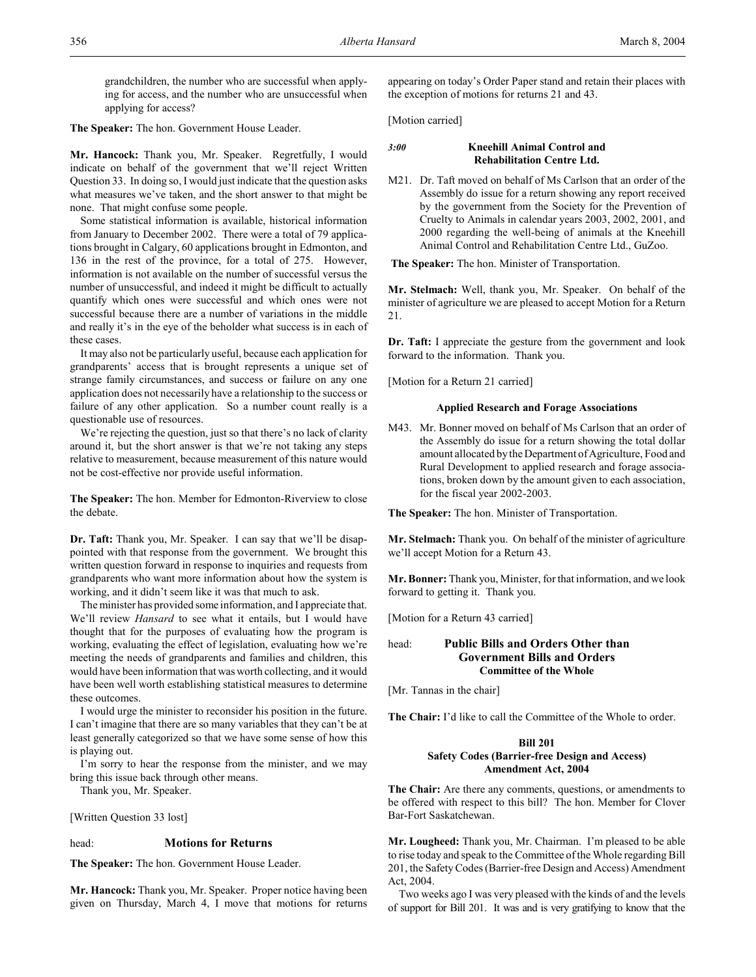grandchildren, the number who are successful when applying for access, and the number who are unsuccessful when applying for access?

**The Speaker:** The hon. Government House Leader.

**Mr. Hancock:** Thank you, Mr. Speaker. Regretfully, I would indicate on behalf of the government that we'll reject Written Question 33. In doing so, I would just indicate that the question asks what measures we've taken, and the short answer to that might be none. That might confuse some people.

Some statistical information is available, historical information from January to December 2002. There were a total of 79 applications brought in Calgary, 60 applications brought in Edmonton, and 136 in the rest of the province, for a total of 275. However, information is not available on the number of successful versus the number of unsuccessful, and indeed it might be difficult to actually quantify which ones were successful and which ones were not successful because there are a number of variations in the middle and really it's in the eye of the beholder what success is in each of these cases.

It may also not be particularly useful, because each application for grandparents' access that is brought represents a unique set of strange family circumstances, and success or failure on any one application does not necessarily have a relationship to the success or failure of any other application. So a number count really is a questionable use of resources.

We're rejecting the question, just so that there's no lack of clarity around it, but the short answer is that we're not taking any steps relative to measurement, because measurement of this nature would not be cost-effective nor provide useful information.

**The Speaker:** The hon. Member for Edmonton-Riverview to close the debate.

**Dr. Taft:** Thank you, Mr. Speaker. I can say that we'll be disappointed with that response from the government. We brought this written question forward in response to inquiries and requests from grandparents who want more information about how the system is working, and it didn't seem like it was that much to ask.

The minister has provided some information, and I appreciate that. We'll review *Hansard* to see what it entails, but I would have thought that for the purposes of evaluating how the program is working, evaluating the effect of legislation, evaluating how we're meeting the needs of grandparents and families and children, this would have been information that was worth collecting, and it would have been well worth establishing statistical measures to determine these outcomes.

I would urge the minister to reconsider his position in the future. I can't imagine that there are so many variables that they can't be at least generally categorized so that we have some sense of how this is playing out.

I'm sorry to hear the response from the minister, and we may bring this issue back through other means.

Thank you, Mr. Speaker.

[Written Question 33 lost]

## head: **Motions for Returns**

**The Speaker:** The hon. Government House Leader.

**Mr. Hancock:** Thank you, Mr. Speaker. Proper notice having been given on Thursday, March 4, I move that motions for returns appearing on today's Order Paper stand and retain their places with the exception of motions for returns 21 and 43.

[Motion carried]

# *3:00* **Kneehill Animal Control and Rehabilitation Centre Ltd.**

M21. Dr. Taft moved on behalf of Ms Carlson that an order of the Assembly do issue for a return showing any report received by the government from the Society for the Prevention of Cruelty to Animals in calendar years 2003, 2002, 2001, and 2000 regarding the well-being of animals at the Kneehill Animal Control and Rehabilitation Centre Ltd., GuZoo.

**The Speaker:** The hon. Minister of Transportation.

**Mr. Stelmach:** Well, thank you, Mr. Speaker. On behalf of the minister of agriculture we are pleased to accept Motion for a Return 21.

**Dr. Taft:** I appreciate the gesture from the government and look forward to the information. Thank you.

[Motion for a Return 21 carried]

## **Applied Research and Forage Associations**

M43. Mr. Bonner moved on behalf of Ms Carlson that an order of the Assembly do issue for a return showing the total dollar amount allocated by the Department of Agriculture, Food and Rural Development to applied research and forage associations, broken down by the amount given to each association, for the fiscal year 2002-2003.

**The Speaker:** The hon. Minister of Transportation.

**Mr. Stelmach:** Thank you. On behalf of the minister of agriculture we'll accept Motion for a Return 43.

**Mr. Bonner:** Thank you, Minister, for that information, and we look forward to getting it. Thank you.

[Motion for a Return 43 carried]

# head: **Public Bills and Orders Other than Government Bills and Orders Committee of the Whole**

[Mr. Tannas in the chair]

**The Chair:** I'd like to call the Committee of the Whole to order.

## **Bill 201 Safety Codes (Barrier-free Design and Access) Amendment Act, 2004**

**The Chair:** Are there any comments, questions, or amendments to be offered with respect to this bill? The hon. Member for Clover Bar-Fort Saskatchewan.

**Mr. Lougheed:** Thank you, Mr. Chairman. I'm pleased to be able to rise today and speak to the Committee of the Whole regarding Bill 201, the Safety Codes (Barrier-free Design and Access) Amendment Act, 2004.

Two weeks ago I was very pleased with the kinds of and the levels of support for Bill 201. It was and is very gratifying to know that the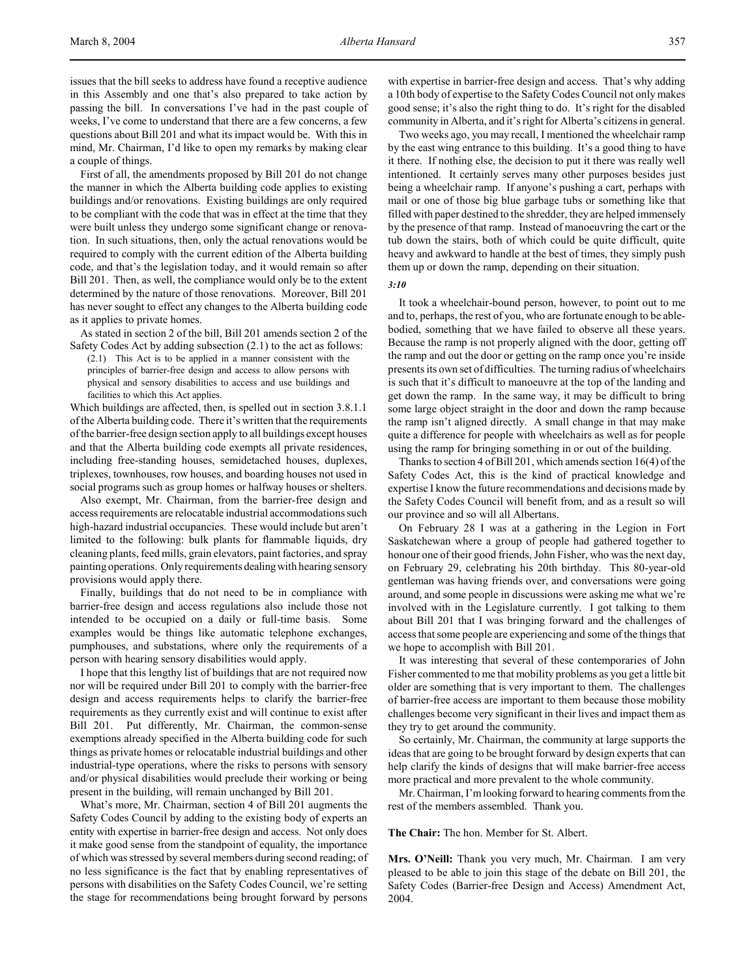issues that the bill seeks to address have found a receptive audience in this Assembly and one that's also prepared to take action by passing the bill. In conversations I've had in the past couple of weeks, I've come to understand that there are a few concerns, a few questions about Bill 201 and what its impact would be. With this in mind, Mr. Chairman, I'd like to open my remarks by making clear a couple of things.

First of all, the amendments proposed by Bill 201 do not change the manner in which the Alberta building code applies to existing buildings and/or renovations. Existing buildings are only required to be compliant with the code that was in effect at the time that they were built unless they undergo some significant change or renovation. In such situations, then, only the actual renovations would be required to comply with the current edition of the Alberta building code, and that's the legislation today, and it would remain so after Bill 201. Then, as well, the compliance would only be to the extent determined by the nature of those renovations. Moreover, Bill 201 has never sought to effect any changes to the Alberta building code as it applies to private homes.

As stated in section 2 of the bill, Bill 201 amends section 2 of the Safety Codes Act by adding subsection (2.1) to the act as follows:

(2.1) This Act is to be applied in a manner consistent with the principles of barrier-free design and access to allow persons with physical and sensory disabilities to access and use buildings and facilities to which this Act applies.

Which buildings are affected, then, is spelled out in section 3.8.1.1 of the Alberta building code. There it's written that the requirements of the barrier-free design section apply to all buildings except houses and that the Alberta building code exempts all private residences, including free-standing houses, semidetached houses, duplexes, triplexes, townhouses, row houses, and boarding houses not used in social programs such as group homes or halfway houses or shelters.

Also exempt, Mr. Chairman, from the barrier-free design and access requirements are relocatable industrial accommodations such high-hazard industrial occupancies. These would include but aren't limited to the following: bulk plants for flammable liquids, dry cleaning plants, feed mills, grain elevators, paint factories, and spray painting operations. Only requirements dealing with hearing sensory provisions would apply there.

Finally, buildings that do not need to be in compliance with barrier-free design and access regulations also include those not intended to be occupied on a daily or full-time basis. Some examples would be things like automatic telephone exchanges, pumphouses, and substations, where only the requirements of a person with hearing sensory disabilities would apply.

I hope that this lengthy list of buildings that are not required now nor will be required under Bill 201 to comply with the barrier-free design and access requirements helps to clarify the barrier-free requirements as they currently exist and will continue to exist after Bill 201. Put differently, Mr. Chairman, the common-sense exemptions already specified in the Alberta building code for such things as private homes or relocatable industrial buildings and other industrial-type operations, where the risks to persons with sensory and/or physical disabilities would preclude their working or being present in the building, will remain unchanged by Bill 201.

What's more, Mr. Chairman, section 4 of Bill 201 augments the Safety Codes Council by adding to the existing body of experts an entity with expertise in barrier-free design and access. Not only does it make good sense from the standpoint of equality, the importance of which was stressed by several members during second reading; of no less significance is the fact that by enabling representatives of persons with disabilities on the Safety Codes Council, we're setting the stage for recommendations being brought forward by persons

with expertise in barrier-free design and access. That's why adding a 10th body of expertise to the Safety Codes Council not only makes good sense; it's also the right thing to do. It's right for the disabled community in Alberta, and it's right for Alberta's citizens in general.

Two weeks ago, you may recall, I mentioned the wheelchair ramp by the east wing entrance to this building. It's a good thing to have it there. If nothing else, the decision to put it there was really well intentioned. It certainly serves many other purposes besides just being a wheelchair ramp. If anyone's pushing a cart, perhaps with mail or one of those big blue garbage tubs or something like that filled with paper destined to the shredder, they are helped immensely by the presence of that ramp. Instead of manoeuvring the cart or the tub down the stairs, both of which could be quite difficult, quite heavy and awkward to handle at the best of times, they simply push them up or down the ramp, depending on their situation.

*3:10*

It took a wheelchair-bound person, however, to point out to me and to, perhaps, the rest of you, who are fortunate enough to be ablebodied, something that we have failed to observe all these years. Because the ramp is not properly aligned with the door, getting off the ramp and out the door or getting on the ramp once you're inside presents its own set of difficulties. The turning radius of wheelchairs is such that it's difficult to manoeuvre at the top of the landing and get down the ramp. In the same way, it may be difficult to bring some large object straight in the door and down the ramp because the ramp isn't aligned directly. A small change in that may make quite a difference for people with wheelchairs as well as for people using the ramp for bringing something in or out of the building.

Thanks to section 4 of Bill 201, which amends section 16(4) of the Safety Codes Act, this is the kind of practical knowledge and expertise I know the future recommendations and decisions made by the Safety Codes Council will benefit from, and as a result so will our province and so will all Albertans.

On February 28 I was at a gathering in the Legion in Fort Saskatchewan where a group of people had gathered together to honour one of their good friends, John Fisher, who was the next day, on February 29, celebrating his 20th birthday. This 80-year-old gentleman was having friends over, and conversations were going around, and some people in discussions were asking me what we're involved with in the Legislature currently. I got talking to them about Bill 201 that I was bringing forward and the challenges of access that some people are experiencing and some of the things that we hope to accomplish with Bill 201.

It was interesting that several of these contemporaries of John Fisher commented to me that mobility problems as you get a little bit older are something that is very important to them. The challenges of barrier-free access are important to them because those mobility challenges become very significant in their lives and impact them as they try to get around the community.

So certainly, Mr. Chairman, the community at large supports the ideas that are going to be brought forward by design experts that can help clarify the kinds of designs that will make barrier-free access more practical and more prevalent to the whole community.

Mr. Chairman, I'm looking forward to hearing comments from the rest of the members assembled. Thank you.

**The Chair:** The hon. Member for St. Albert.

**Mrs. O'Neill:** Thank you very much, Mr. Chairman. I am very pleased to be able to join this stage of the debate on Bill 201, the Safety Codes (Barrier-free Design and Access) Amendment Act, 2004.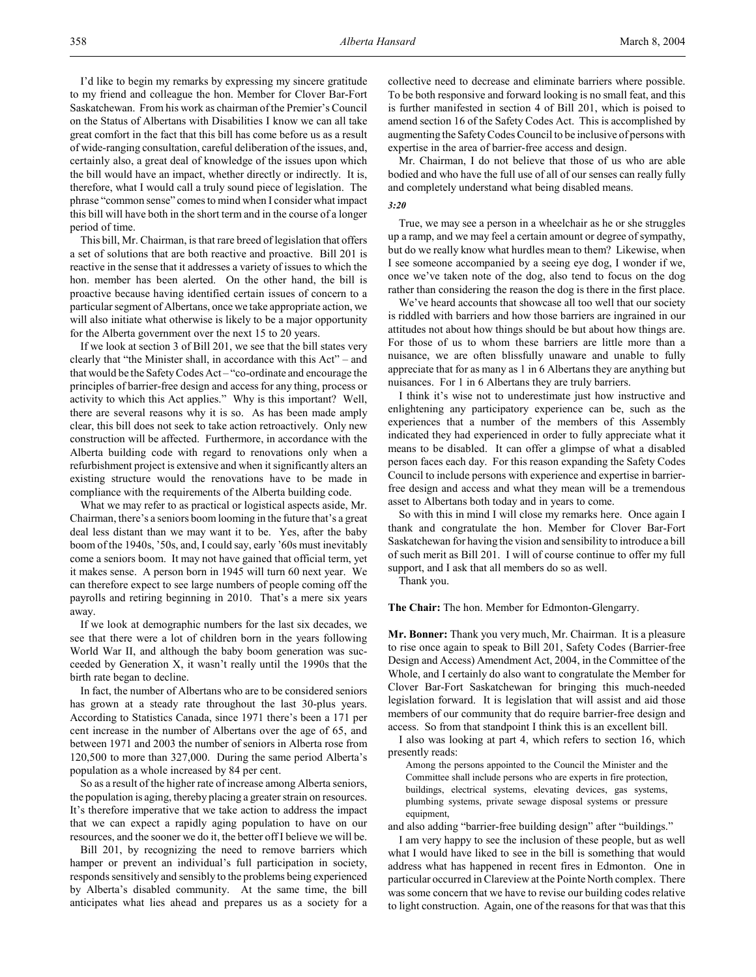I'd like to begin my remarks by expressing my sincere gratitude to my friend and colleague the hon. Member for Clover Bar-Fort Saskatchewan. From his work as chairman of the Premier's Council on the Status of Albertans with Disabilities I know we can all take great comfort in the fact that this bill has come before us as a result of wide-ranging consultation, careful deliberation of the issues, and, certainly also, a great deal of knowledge of the issues upon which the bill would have an impact, whether directly or indirectly. It is, therefore, what I would call a truly sound piece of legislation. The phrase "common sense" comes to mind when I consider what impact this bill will have both in the short term and in the course of a longer period of time.

This bill, Mr. Chairman, is that rare breed of legislation that offers a set of solutions that are both reactive and proactive. Bill 201 is reactive in the sense that it addresses a variety of issues to which the hon. member has been alerted. On the other hand, the bill is proactive because having identified certain issues of concern to a particular segment of Albertans, once we take appropriate action, we will also initiate what otherwise is likely to be a major opportunity for the Alberta government over the next 15 to 20 years.

If we look at section 3 of Bill 201, we see that the bill states very clearly that "the Minister shall, in accordance with this Act" – and that would be the Safety Codes Act – "co-ordinate and encourage the principles of barrier-free design and access for any thing, process or activity to which this Act applies." Why is this important? Well, there are several reasons why it is so. As has been made amply clear, this bill does not seek to take action retroactively. Only new construction will be affected. Furthermore, in accordance with the Alberta building code with regard to renovations only when a refurbishment project is extensive and when it significantly alters an existing structure would the renovations have to be made in compliance with the requirements of the Alberta building code.

What we may refer to as practical or logistical aspects aside, Mr. Chairman, there's a seniors boom looming in the future that's a great deal less distant than we may want it to be. Yes, after the baby boom of the 1940s, '50s, and, I could say, early '60s must inevitably come a seniors boom. It may not have gained that official term, yet it makes sense. A person born in 1945 will turn 60 next year. We can therefore expect to see large numbers of people coming off the payrolls and retiring beginning in 2010. That's a mere six years away.

If we look at demographic numbers for the last six decades, we see that there were a lot of children born in the years following World War II, and although the baby boom generation was succeeded by Generation X, it wasn't really until the 1990s that the birth rate began to decline.

In fact, the number of Albertans who are to be considered seniors has grown at a steady rate throughout the last 30-plus years. According to Statistics Canada, since 1971 there's been a 171 per cent increase in the number of Albertans over the age of 65, and between 1971 and 2003 the number of seniors in Alberta rose from 120,500 to more than 327,000. During the same period Alberta's population as a whole increased by 84 per cent.

So as a result of the higher rate of increase among Alberta seniors, the population is aging, thereby placing a greater strain on resources. It's therefore imperative that we take action to address the impact that we can expect a rapidly aging population to have on our resources, and the sooner we do it, the better off I believe we will be.

Bill 201, by recognizing the need to remove barriers which hamper or prevent an individual's full participation in society, responds sensitively and sensibly to the problems being experienced by Alberta's disabled community. At the same time, the bill anticipates what lies ahead and prepares us as a society for a

collective need to decrease and eliminate barriers where possible. To be both responsive and forward looking is no small feat, and this is further manifested in section 4 of Bill 201, which is poised to amend section 16 of the Safety Codes Act. This is accomplished by augmenting the Safety Codes Council to be inclusive of persons with expertise in the area of barrier-free access and design.

Mr. Chairman, I do not believe that those of us who are able bodied and who have the full use of all of our senses can really fully and completely understand what being disabled means.

## *3:20*

True, we may see a person in a wheelchair as he or she struggles up a ramp, and we may feel a certain amount or degree of sympathy, but do we really know what hurdles mean to them? Likewise, when I see someone accompanied by a seeing eye dog, I wonder if we, once we've taken note of the dog, also tend to focus on the dog rather than considering the reason the dog is there in the first place.

We've heard accounts that showcase all too well that our society is riddled with barriers and how those barriers are ingrained in our attitudes not about how things should be but about how things are. For those of us to whom these barriers are little more than a nuisance, we are often blissfully unaware and unable to fully appreciate that for as many as 1 in 6 Albertans they are anything but nuisances. For 1 in 6 Albertans they are truly barriers.

I think it's wise not to underestimate just how instructive and enlightening any participatory experience can be, such as the experiences that a number of the members of this Assembly indicated they had experienced in order to fully appreciate what it means to be disabled. It can offer a glimpse of what a disabled person faces each day. For this reason expanding the Safety Codes Council to include persons with experience and expertise in barrierfree design and access and what they mean will be a tremendous asset to Albertans both today and in years to come.

So with this in mind I will close my remarks here. Once again I thank and congratulate the hon. Member for Clover Bar-Fort Saskatchewan for having the vision and sensibility to introduce a bill of such merit as Bill 201. I will of course continue to offer my full support, and I ask that all members do so as well.

Thank you.

**The Chair:** The hon. Member for Edmonton-Glengarry.

**Mr. Bonner:** Thank you very much, Mr. Chairman. It is a pleasure to rise once again to speak to Bill 201, Safety Codes (Barrier-free Design and Access) Amendment Act, 2004, in the Committee of the Whole, and I certainly do also want to congratulate the Member for Clover Bar-Fort Saskatchewan for bringing this much-needed legislation forward. It is legislation that will assist and aid those members of our community that do require barrier-free design and access. So from that standpoint I think this is an excellent bill.

I also was looking at part 4, which refers to section 16, which presently reads:

Among the persons appointed to the Council the Minister and the Committee shall include persons who are experts in fire protection, buildings, electrical systems, elevating devices, gas systems, plumbing systems, private sewage disposal systems or pressure equipment,

and also adding "barrier-free building design" after "buildings."

I am very happy to see the inclusion of these people, but as well what I would have liked to see in the bill is something that would address what has happened in recent fires in Edmonton. One in particular occurred in Clareview at the Pointe North complex. There was some concern that we have to revise our building codes relative to light construction. Again, one of the reasons for that was that this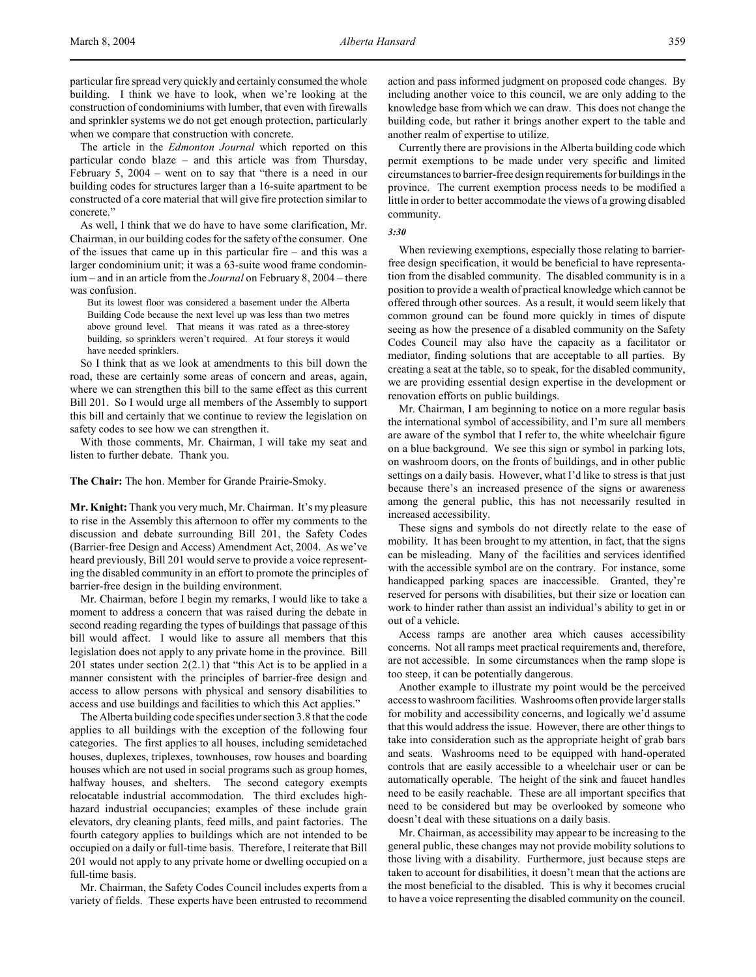particular fire spread very quickly and certainly consumed the whole building. I think we have to look, when we're looking at the construction of condominiums with lumber, that even with firewalls and sprinkler systems we do not get enough protection, particularly when we compare that construction with concrete.

The article in the *Edmonton Journal* which reported on this particular condo blaze – and this article was from Thursday, February 5, 2004 – went on to say that "there is a need in our building codes for structures larger than a 16-suite apartment to be constructed of a core material that will give fire protection similar to concrete."

As well, I think that we do have to have some clarification, Mr. Chairman, in our building codes for the safety of the consumer. One of the issues that came up in this particular fire – and this was a larger condominium unit; it was a 63-suite wood frame condominium – and in an article from the *Journal* on February 8, 2004 – there was confusion.

But its lowest floor was considered a basement under the Alberta Building Code because the next level up was less than two metres above ground level. That means it was rated as a three-storey building, so sprinklers weren't required. At four storeys it would have needed sprinklers.

So I think that as we look at amendments to this bill down the road, these are certainly some areas of concern and areas, again, where we can strengthen this bill to the same effect as this current Bill 201. So I would urge all members of the Assembly to support this bill and certainly that we continue to review the legislation on safety codes to see how we can strengthen it.

With those comments, Mr. Chairman, I will take my seat and listen to further debate. Thank you.

**The Chair:** The hon. Member for Grande Prairie-Smoky.

**Mr. Knight:** Thank you very much, Mr. Chairman. It's my pleasure to rise in the Assembly this afternoon to offer my comments to the discussion and debate surrounding Bill 201, the Safety Codes (Barrier-free Design and Access) Amendment Act, 2004. As we've heard previously, Bill 201 would serve to provide a voice representing the disabled community in an effort to promote the principles of barrier-free design in the building environment.

Mr. Chairman, before I begin my remarks, I would like to take a moment to address a concern that was raised during the debate in second reading regarding the types of buildings that passage of this bill would affect. I would like to assure all members that this legislation does not apply to any private home in the province. Bill 201 states under section  $2(2.1)$  that "this Act is to be applied in a manner consistent with the principles of barrier-free design and access to allow persons with physical and sensory disabilities to access and use buildings and facilities to which this Act applies."

The Alberta building code specifies under section 3.8 that the code applies to all buildings with the exception of the following four categories. The first applies to all houses, including semidetached houses, duplexes, triplexes, townhouses, row houses and boarding houses which are not used in social programs such as group homes, halfway houses, and shelters. The second category exempts relocatable industrial accommodation. The third excludes highhazard industrial occupancies; examples of these include grain elevators, dry cleaning plants, feed mills, and paint factories. The fourth category applies to buildings which are not intended to be occupied on a daily or full-time basis. Therefore, I reiterate that Bill 201 would not apply to any private home or dwelling occupied on a full-time basis.

Mr. Chairman, the Safety Codes Council includes experts from a variety of fields. These experts have been entrusted to recommend action and pass informed judgment on proposed code changes. By including another voice to this council, we are only adding to the knowledge base from which we can draw. This does not change the building code, but rather it brings another expert to the table and another realm of expertise to utilize.

Currently there are provisions in the Alberta building code which permit exemptions to be made under very specific and limited circumstances to barrier-free design requirements for buildings in the province. The current exemption process needs to be modified a little in order to better accommodate the views of a growing disabled community.

## *3:30*

When reviewing exemptions, especially those relating to barrierfree design specification, it would be beneficial to have representation from the disabled community. The disabled community is in a position to provide a wealth of practical knowledge which cannot be offered through other sources. As a result, it would seem likely that common ground can be found more quickly in times of dispute seeing as how the presence of a disabled community on the Safety Codes Council may also have the capacity as a facilitator or mediator, finding solutions that are acceptable to all parties. By creating a seat at the table, so to speak, for the disabled community, we are providing essential design expertise in the development or renovation efforts on public buildings.

Mr. Chairman, I am beginning to notice on a more regular basis the international symbol of accessibility, and I'm sure all members are aware of the symbol that I refer to, the white wheelchair figure on a blue background. We see this sign or symbol in parking lots, on washroom doors, on the fronts of buildings, and in other public settings on a daily basis. However, what I'd like to stress is that just because there's an increased presence of the signs or awareness among the general public, this has not necessarily resulted in increased accessibility.

These signs and symbols do not directly relate to the ease of mobility. It has been brought to my attention, in fact, that the signs can be misleading. Many of the facilities and services identified with the accessible symbol are on the contrary. For instance, some handicapped parking spaces are inaccessible. Granted, they're reserved for persons with disabilities, but their size or location can work to hinder rather than assist an individual's ability to get in or out of a vehicle.

Access ramps are another area which causes accessibility concerns. Not all ramps meet practical requirements and, therefore, are not accessible. In some circumstances when the ramp slope is too steep, it can be potentially dangerous.

Another example to illustrate my point would be the perceived access to washroom facilities. Washrooms often provide larger stalls for mobility and accessibility concerns, and logically we'd assume that this would address the issue. However, there are other things to take into consideration such as the appropriate height of grab bars and seats. Washrooms need to be equipped with hand-operated controls that are easily accessible to a wheelchair user or can be automatically operable. The height of the sink and faucet handles need to be easily reachable. These are all important specifics that need to be considered but may be overlooked by someone who doesn't deal with these situations on a daily basis.

Mr. Chairman, as accessibility may appear to be increasing to the general public, these changes may not provide mobility solutions to those living with a disability. Furthermore, just because steps are taken to account for disabilities, it doesn't mean that the actions are the most beneficial to the disabled. This is why it becomes crucial to have a voice representing the disabled community on the council.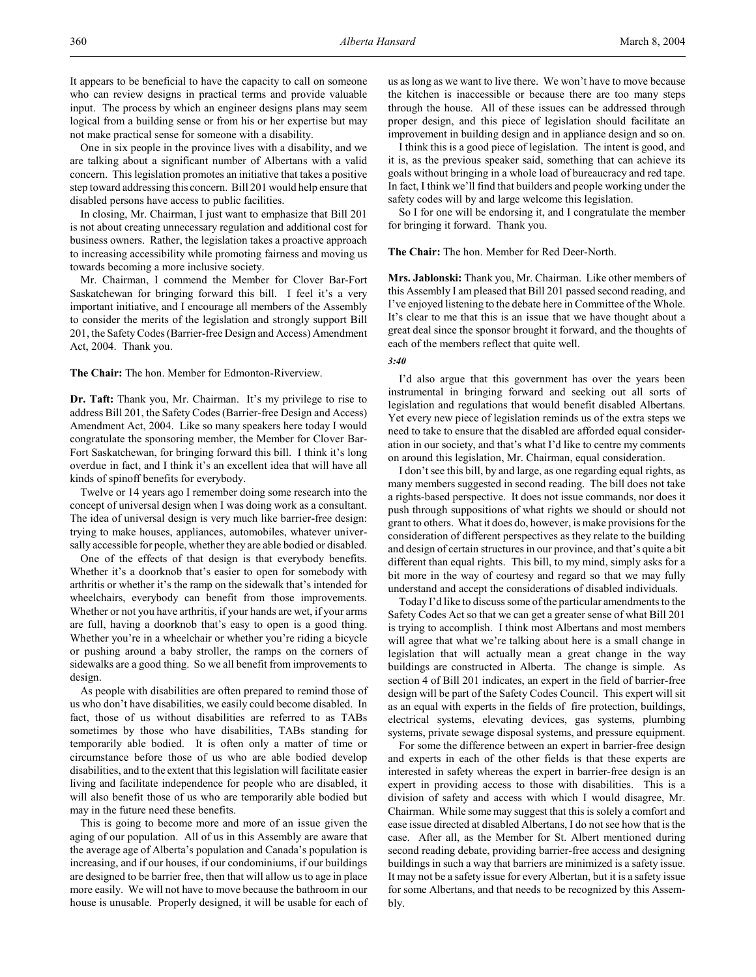It appears to be beneficial to have the capacity to call on someone who can review designs in practical terms and provide valuable input. The process by which an engineer designs plans may seem logical from a building sense or from his or her expertise but may not make practical sense for someone with a disability.

One in six people in the province lives with a disability, and we are talking about a significant number of Albertans with a valid concern. This legislation promotes an initiative that takes a positive step toward addressing this concern. Bill 201 would help ensure that disabled persons have access to public facilities.

In closing, Mr. Chairman, I just want to emphasize that Bill 201 is not about creating unnecessary regulation and additional cost for business owners. Rather, the legislation takes a proactive approach to increasing accessibility while promoting fairness and moving us towards becoming a more inclusive society.

Mr. Chairman, I commend the Member for Clover Bar-Fort Saskatchewan for bringing forward this bill. I feel it's a very important initiative, and I encourage all members of the Assembly to consider the merits of the legislation and strongly support Bill 201, the Safety Codes (Barrier-free Design and Access) Amendment Act, 2004. Thank you.

**The Chair:** The hon. Member for Edmonton-Riverview.

**Dr. Taft:** Thank you, Mr. Chairman. It's my privilege to rise to address Bill 201, the Safety Codes (Barrier-free Design and Access) Amendment Act, 2004. Like so many speakers here today I would congratulate the sponsoring member, the Member for Clover Bar-Fort Saskatchewan, for bringing forward this bill. I think it's long overdue in fact, and I think it's an excellent idea that will have all kinds of spinoff benefits for everybody.

Twelve or 14 years ago I remember doing some research into the concept of universal design when I was doing work as a consultant. The idea of universal design is very much like barrier-free design: trying to make houses, appliances, automobiles, whatever universally accessible for people, whether they are able bodied or disabled.

One of the effects of that design is that everybody benefits. Whether it's a doorknob that's easier to open for somebody with arthritis or whether it's the ramp on the sidewalk that's intended for wheelchairs, everybody can benefit from those improvements. Whether or not you have arthritis, if your hands are wet, if your arms are full, having a doorknob that's easy to open is a good thing. Whether you're in a wheelchair or whether you're riding a bicycle or pushing around a baby stroller, the ramps on the corners of sidewalks are a good thing. So we all benefit from improvements to design.

As people with disabilities are often prepared to remind those of us who don't have disabilities, we easily could become disabled. In fact, those of us without disabilities are referred to as TABs sometimes by those who have disabilities, TABs standing for temporarily able bodied. It is often only a matter of time or circumstance before those of us who are able bodied develop disabilities, and to the extent that this legislation will facilitate easier living and facilitate independence for people who are disabled, it will also benefit those of us who are temporarily able bodied but may in the future need these benefits.

This is going to become more and more of an issue given the aging of our population. All of us in this Assembly are aware that the average age of Alberta's population and Canada's population is increasing, and if our houses, if our condominiums, if our buildings are designed to be barrier free, then that will allow us to age in place more easily. We will not have to move because the bathroom in our house is unusable. Properly designed, it will be usable for each of us as long as we want to live there. We won't have to move because the kitchen is inaccessible or because there are too many steps through the house. All of these issues can be addressed through proper design, and this piece of legislation should facilitate an improvement in building design and in appliance design and so on.

I think this is a good piece of legislation. The intent is good, and it is, as the previous speaker said, something that can achieve its goals without bringing in a whole load of bureaucracy and red tape. In fact, I think we'll find that builders and people working under the safety codes will by and large welcome this legislation.

So I for one will be endorsing it, and I congratulate the member for bringing it forward. Thank you.

**The Chair:** The hon. Member for Red Deer-North.

**Mrs. Jablonski:** Thank you, Mr. Chairman. Like other members of this Assembly I am pleased that Bill 201 passed second reading, and I've enjoyed listening to the debate here in Committee of the Whole. It's clear to me that this is an issue that we have thought about a great deal since the sponsor brought it forward, and the thoughts of each of the members reflect that quite well.

#### *3:40*

I'd also argue that this government has over the years been instrumental in bringing forward and seeking out all sorts of legislation and regulations that would benefit disabled Albertans. Yet every new piece of legislation reminds us of the extra steps we need to take to ensure that the disabled are afforded equal consideration in our society, and that's what I'd like to centre my comments on around this legislation, Mr. Chairman, equal consideration.

I don't see this bill, by and large, as one regarding equal rights, as many members suggested in second reading. The bill does not take a rights-based perspective. It does not issue commands, nor does it push through suppositions of what rights we should or should not grant to others. What it does do, however, is make provisions for the consideration of different perspectives as they relate to the building and design of certain structures in our province, and that's quite a bit different than equal rights. This bill, to my mind, simply asks for a bit more in the way of courtesy and regard so that we may fully understand and accept the considerations of disabled individuals.

Today I'd like to discuss some of the particular amendments to the Safety Codes Act so that we can get a greater sense of what Bill 201 is trying to accomplish. I think most Albertans and most members will agree that what we're talking about here is a small change in legislation that will actually mean a great change in the way buildings are constructed in Alberta. The change is simple. As section 4 of Bill 201 indicates, an expert in the field of barrier-free design will be part of the Safety Codes Council. This expert will sit as an equal with experts in the fields of fire protection, buildings, electrical systems, elevating devices, gas systems, plumbing systems, private sewage disposal systems, and pressure equipment.

For some the difference between an expert in barrier-free design and experts in each of the other fields is that these experts are interested in safety whereas the expert in barrier-free design is an expert in providing access to those with disabilities. This is a division of safety and access with which I would disagree, Mr. Chairman. While some may suggest that this is solely a comfort and ease issue directed at disabled Albertans, I do not see how that is the case. After all, as the Member for St. Albert mentioned during second reading debate, providing barrier-free access and designing buildings in such a way that barriers are minimized is a safety issue. It may not be a safety issue for every Albertan, but it is a safety issue for some Albertans, and that needs to be recognized by this Assembly.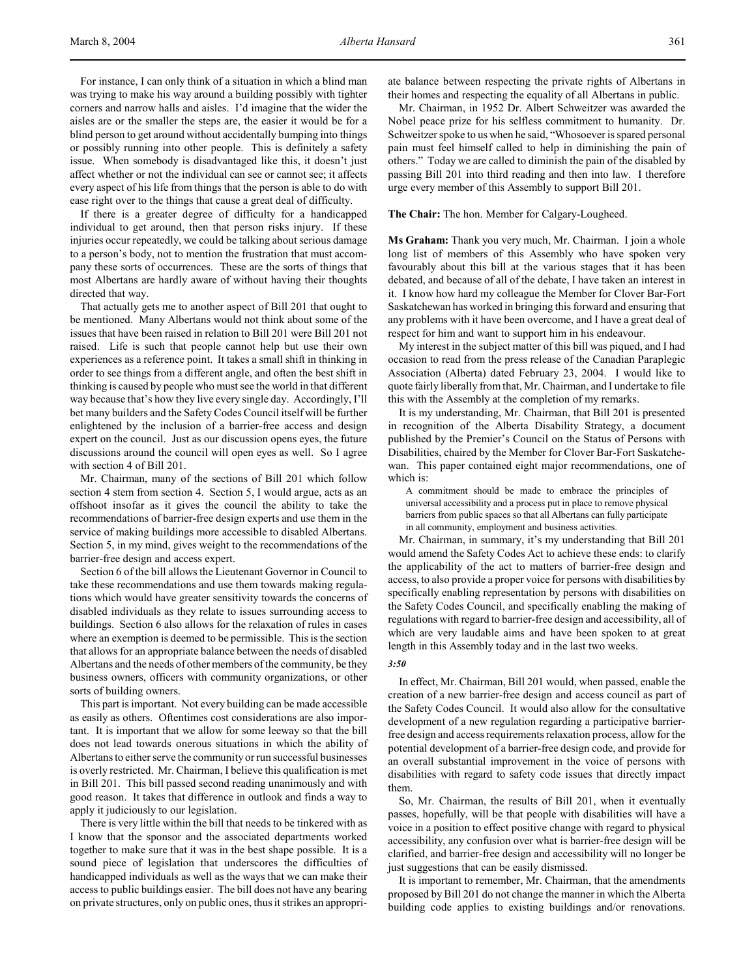For instance, I can only think of a situation in which a blind man was trying to make his way around a building possibly with tighter corners and narrow halls and aisles. I'd imagine that the wider the aisles are or the smaller the steps are, the easier it would be for a blind person to get around without accidentally bumping into things or possibly running into other people. This is definitely a safety issue. When somebody is disadvantaged like this, it doesn't just affect whether or not the individual can see or cannot see; it affects every aspect of his life from things that the person is able to do with ease right over to the things that cause a great deal of difficulty.

If there is a greater degree of difficulty for a handicapped individual to get around, then that person risks injury. If these injuries occur repeatedly, we could be talking about serious damage to a person's body, not to mention the frustration that must accompany these sorts of occurrences. These are the sorts of things that most Albertans are hardly aware of without having their thoughts directed that way.

That actually gets me to another aspect of Bill 201 that ought to be mentioned. Many Albertans would not think about some of the issues that have been raised in relation to Bill 201 were Bill 201 not raised. Life is such that people cannot help but use their own experiences as a reference point. It takes a small shift in thinking in order to see things from a different angle, and often the best shift in thinking is caused by people who must see the world in that different way because that's how they live every single day. Accordingly, I'll bet many builders and the Safety Codes Council itself will be further enlightened by the inclusion of a barrier-free access and design expert on the council. Just as our discussion opens eyes, the future discussions around the council will open eyes as well. So I agree with section 4 of Bill 201.

Mr. Chairman, many of the sections of Bill 201 which follow section 4 stem from section 4. Section 5, I would argue, acts as an offshoot insofar as it gives the council the ability to take the recommendations of barrier-free design experts and use them in the service of making buildings more accessible to disabled Albertans. Section 5, in my mind, gives weight to the recommendations of the barrier-free design and access expert.

Section 6 of the bill allows the Lieutenant Governor in Council to take these recommendations and use them towards making regulations which would have greater sensitivity towards the concerns of disabled individuals as they relate to issues surrounding access to buildings. Section 6 also allows for the relaxation of rules in cases where an exemption is deemed to be permissible. This is the section that allows for an appropriate balance between the needs of disabled Albertans and the needs of other members of the community, be they business owners, officers with community organizations, or other sorts of building owners.

This part is important. Not every building can be made accessible as easily as others. Oftentimes cost considerations are also important. It is important that we allow for some leeway so that the bill does not lead towards onerous situations in which the ability of Albertans to either serve the community or run successful businesses is overly restricted. Mr. Chairman, I believe this qualification is met in Bill 201. This bill passed second reading unanimously and with good reason. It takes that difference in outlook and finds a way to apply it judiciously to our legislation.

There is very little within the bill that needs to be tinkered with as I know that the sponsor and the associated departments worked together to make sure that it was in the best shape possible. It is a sound piece of legislation that underscores the difficulties of handicapped individuals as well as the ways that we can make their access to public buildings easier. The bill does not have any bearing on private structures, only on public ones, thus it strikes an appropriate balance between respecting the private rights of Albertans in their homes and respecting the equality of all Albertans in public.

Mr. Chairman, in 1952 Dr. Albert Schweitzer was awarded the Nobel peace prize for his selfless commitment to humanity. Dr. Schweitzer spoke to us when he said, "Whosoever is spared personal pain must feel himself called to help in diminishing the pain of others." Today we are called to diminish the pain of the disabled by passing Bill 201 into third reading and then into law. I therefore urge every member of this Assembly to support Bill 201.

**The Chair:** The hon. Member for Calgary-Lougheed.

**Ms Graham:** Thank you very much, Mr. Chairman. I join a whole long list of members of this Assembly who have spoken very favourably about this bill at the various stages that it has been debated, and because of all of the debate, I have taken an interest in it. I know how hard my colleague the Member for Clover Bar-Fort Saskatchewan has worked in bringing this forward and ensuring that any problems with it have been overcome, and I have a great deal of respect for him and want to support him in his endeavour.

My interest in the subject matter of this bill was piqued, and I had occasion to read from the press release of the Canadian Paraplegic Association (Alberta) dated February 23, 2004. I would like to quote fairly liberally from that, Mr. Chairman, and I undertake to file this with the Assembly at the completion of my remarks.

It is my understanding, Mr. Chairman, that Bill 201 is presented in recognition of the Alberta Disability Strategy, a document published by the Premier's Council on the Status of Persons with Disabilities, chaired by the Member for Clover Bar-Fort Saskatchewan. This paper contained eight major recommendations, one of which is:

A commitment should be made to embrace the principles of universal accessibility and a process put in place to remove physical barriers from public spaces so that all Albertans can fully participate in all community, employment and business activities.

Mr. Chairman, in summary, it's my understanding that Bill 201 would amend the Safety Codes Act to achieve these ends: to clarify the applicability of the act to matters of barrier-free design and access, to also provide a proper voice for persons with disabilities by specifically enabling representation by persons with disabilities on the Safety Codes Council, and specifically enabling the making of regulations with regard to barrier-free design and accessibility, all of which are very laudable aims and have been spoken to at great length in this Assembly today and in the last two weeks.

#### *3:50*

In effect, Mr. Chairman, Bill 201 would, when passed, enable the creation of a new barrier-free design and access council as part of the Safety Codes Council. It would also allow for the consultative development of a new regulation regarding a participative barrierfree design and access requirements relaxation process, allow for the potential development of a barrier-free design code, and provide for an overall substantial improvement in the voice of persons with disabilities with regard to safety code issues that directly impact them.

So, Mr. Chairman, the results of Bill 201, when it eventually passes, hopefully, will be that people with disabilities will have a voice in a position to effect positive change with regard to physical accessibility, any confusion over what is barrier-free design will be clarified, and barrier-free design and accessibility will no longer be just suggestions that can be easily dismissed.

It is important to remember, Mr. Chairman, that the amendments proposed by Bill 201 do not change the manner in which the Alberta building code applies to existing buildings and/or renovations.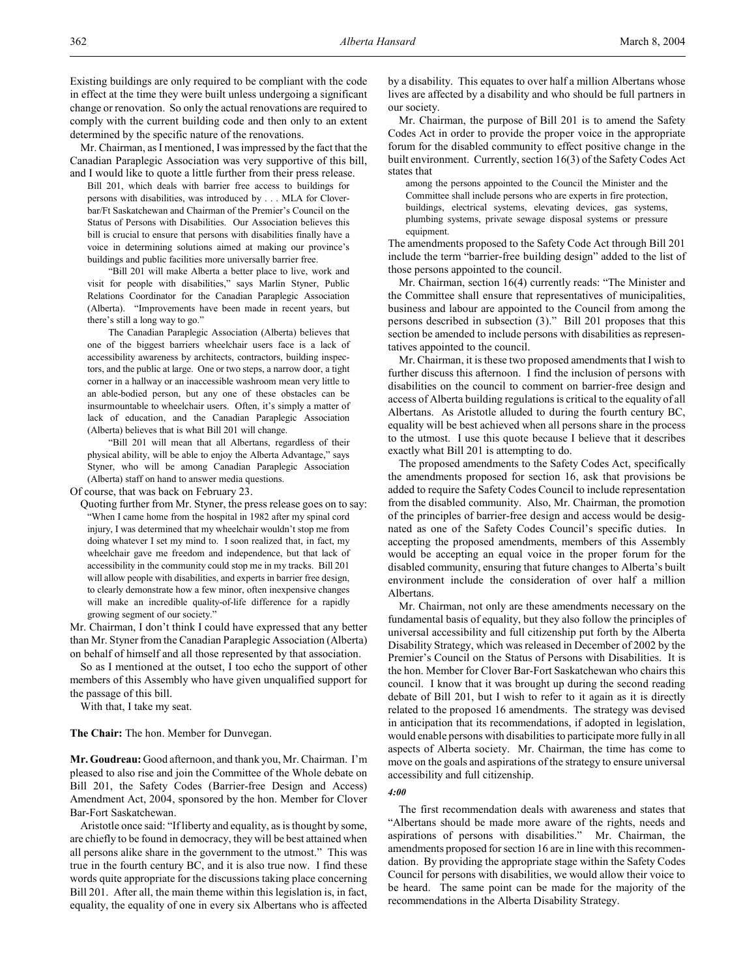Existing buildings are only required to be compliant with the code in effect at the time they were built unless undergoing a significant change or renovation. So only the actual renovations are required to comply with the current building code and then only to an extent determined by the specific nature of the renovations.

Mr. Chairman, as I mentioned, I was impressed by the fact that the Canadian Paraplegic Association was very supportive of this bill, and I would like to quote a little further from their press release.

Bill 201, which deals with barrier free access to buildings for persons with disabilities, was introduced by . . . MLA for Cloverbar/Ft Saskatchewan and Chairman of the Premier's Council on the Status of Persons with Disabilities. Our Association believes this bill is crucial to ensure that persons with disabilities finally have a voice in determining solutions aimed at making our province's buildings and public facilities more universally barrier free.

"Bill 201 will make Alberta a better place to live, work and visit for people with disabilities," says Marlin Styner, Public Relations Coordinator for the Canadian Paraplegic Association (Alberta). "Improvements have been made in recent years, but there's still a long way to go."

The Canadian Paraplegic Association (Alberta) believes that one of the biggest barriers wheelchair users face is a lack of accessibility awareness by architects, contractors, building inspectors, and the public at large. One or two steps, a narrow door, a tight corner in a hallway or an inaccessible washroom mean very little to an able-bodied person, but any one of these obstacles can be insurmountable to wheelchair users. Often, it's simply a matter of lack of education, and the Canadian Paraplegic Association (Alberta) believes that is what Bill 201 will change.

"Bill 201 will mean that all Albertans, regardless of their physical ability, will be able to enjoy the Alberta Advantage," says Styner, who will be among Canadian Paraplegic Association (Alberta) staff on hand to answer media questions.

Of course, that was back on February 23.

Quoting further from Mr. Styner, the press release goes on to say: "When I came home from the hospital in 1982 after my spinal cord injury, I was determined that my wheelchair wouldn't stop me from doing whatever I set my mind to. I soon realized that, in fact, my wheelchair gave me freedom and independence, but that lack of accessibility in the community could stop me in my tracks. Bill 201 will allow people with disabilities, and experts in barrier free design, to clearly demonstrate how a few minor, often inexpensive changes will make an incredible quality-of-life difference for a rapidly growing segment of our society."

Mr. Chairman, I don't think I could have expressed that any better than Mr. Styner from the Canadian Paraplegic Association (Alberta) on behalf of himself and all those represented by that association.

So as I mentioned at the outset, I too echo the support of other members of this Assembly who have given unqualified support for the passage of this bill.

With that, I take my seat.

**The Chair:** The hon. Member for Dunvegan.

**Mr. Goudreau:** Good afternoon, and thank you, Mr. Chairman. I'm pleased to also rise and join the Committee of the Whole debate on Bill 201, the Safety Codes (Barrier-free Design and Access) Amendment Act, 2004, sponsored by the hon. Member for Clover Bar-Fort Saskatchewan.

Aristotle once said: "If liberty and equality, as is thought by some, are chiefly to be found in democracy, they will be best attained when all persons alike share in the government to the utmost." This was true in the fourth century BC, and it is also true now. I find these words quite appropriate for the discussions taking place concerning Bill 201. After all, the main theme within this legislation is, in fact, equality, the equality of one in every six Albertans who is affected by a disability. This equates to over half a million Albertans whose lives are affected by a disability and who should be full partners in our society.

Mr. Chairman, the purpose of Bill 201 is to amend the Safety Codes Act in order to provide the proper voice in the appropriate forum for the disabled community to effect positive change in the built environment. Currently, section 16(3) of the Safety Codes Act states that

among the persons appointed to the Council the Minister and the Committee shall include persons who are experts in fire protection, buildings, electrical systems, elevating devices, gas systems, plumbing systems, private sewage disposal systems or pressure equipment.

The amendments proposed to the Safety Code Act through Bill 201 include the term "barrier-free building design" added to the list of those persons appointed to the council.

Mr. Chairman, section 16(4) currently reads: "The Minister and the Committee shall ensure that representatives of municipalities, business and labour are appointed to the Council from among the persons described in subsection (3)." Bill 201 proposes that this section be amended to include persons with disabilities as representatives appointed to the council.

Mr. Chairman, it is these two proposed amendments that I wish to further discuss this afternoon. I find the inclusion of persons with disabilities on the council to comment on barrier-free design and access of Alberta building regulations is critical to the equality of all Albertans. As Aristotle alluded to during the fourth century BC, equality will be best achieved when all persons share in the process to the utmost. I use this quote because I believe that it describes exactly what Bill 201 is attempting to do.

The proposed amendments to the Safety Codes Act, specifically the amendments proposed for section 16, ask that provisions be added to require the Safety Codes Council to include representation from the disabled community. Also, Mr. Chairman, the promotion of the principles of barrier-free design and access would be designated as one of the Safety Codes Council's specific duties. In accepting the proposed amendments, members of this Assembly would be accepting an equal voice in the proper forum for the disabled community, ensuring that future changes to Alberta's built environment include the consideration of over half a million Albertans.

Mr. Chairman, not only are these amendments necessary on the fundamental basis of equality, but they also follow the principles of universal accessibility and full citizenship put forth by the Alberta Disability Strategy, which was released in December of 2002 by the Premier's Council on the Status of Persons with Disabilities. It is the hon. Member for Clover Bar-Fort Saskatchewan who chairs this council. I know that it was brought up during the second reading debate of Bill 201, but I wish to refer to it again as it is directly related to the proposed 16 amendments. The strategy was devised in anticipation that its recommendations, if adopted in legislation, would enable persons with disabilities to participate more fully in all aspects of Alberta society. Mr. Chairman, the time has come to move on the goals and aspirations of the strategy to ensure universal accessibility and full citizenship.

# *4:00*

The first recommendation deals with awareness and states that "Albertans should be made more aware of the rights, needs and aspirations of persons with disabilities." Mr. Chairman, the amendments proposed for section 16 are in line with this recommendation. By providing the appropriate stage within the Safety Codes Council for persons with disabilities, we would allow their voice to be heard. The same point can be made for the majority of the recommendations in the Alberta Disability Strategy.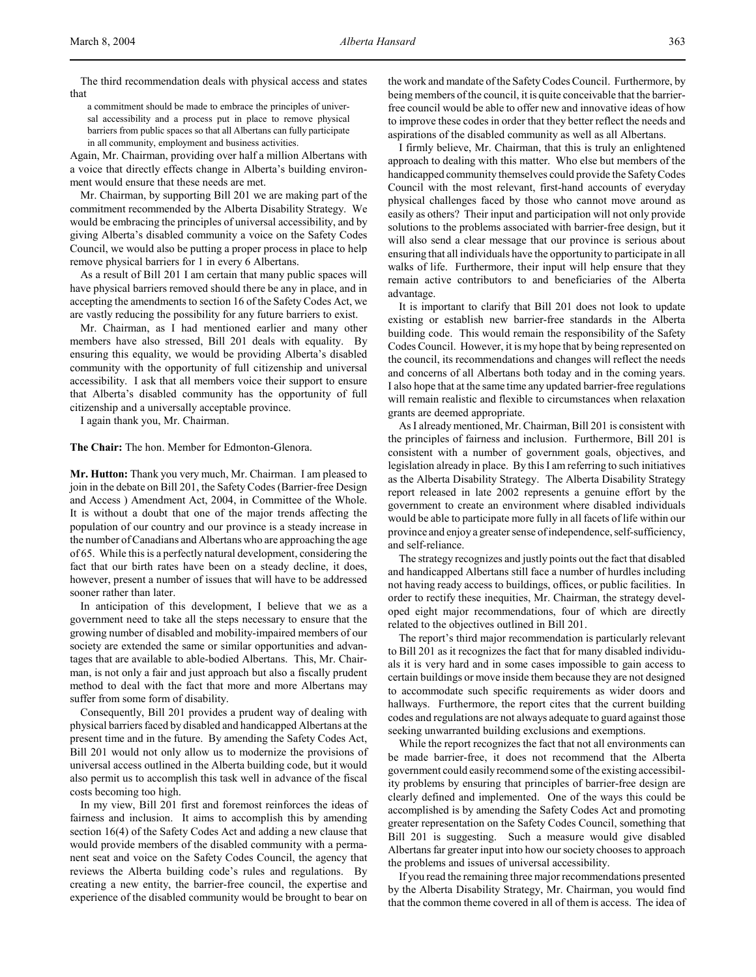The third recommendation deals with physical access and states that

a commitment should be made to embrace the principles of universal accessibility and a process put in place to remove physical barriers from public spaces so that all Albertans can fully participate in all community, employment and business activities.

Again, Mr. Chairman, providing over half a million Albertans with a voice that directly effects change in Alberta's building environment would ensure that these needs are met.

Mr. Chairman, by supporting Bill 201 we are making part of the commitment recommended by the Alberta Disability Strategy. We would be embracing the principles of universal accessibility, and by giving Alberta's disabled community a voice on the Safety Codes Council, we would also be putting a proper process in place to help remove physical barriers for 1 in every 6 Albertans.

As a result of Bill 201 I am certain that many public spaces will have physical barriers removed should there be any in place, and in accepting the amendments to section 16 of the Safety Codes Act, we are vastly reducing the possibility for any future barriers to exist.

Mr. Chairman, as I had mentioned earlier and many other members have also stressed, Bill 201 deals with equality. By ensuring this equality, we would be providing Alberta's disabled community with the opportunity of full citizenship and universal accessibility. I ask that all members voice their support to ensure that Alberta's disabled community has the opportunity of full citizenship and a universally acceptable province.

I again thank you, Mr. Chairman.

**The Chair:** The hon. Member for Edmonton-Glenora.

**Mr. Hutton:** Thank you very much, Mr. Chairman. I am pleased to join in the debate on Bill 201, the Safety Codes (Barrier-free Design and Access ) Amendment Act, 2004, in Committee of the Whole. It is without a doubt that one of the major trends affecting the population of our country and our province is a steady increase in the number of Canadians and Albertans who are approaching the age of 65. While this is a perfectly natural development, considering the fact that our birth rates have been on a steady decline, it does, however, present a number of issues that will have to be addressed sooner rather than later.

In anticipation of this development, I believe that we as a government need to take all the steps necessary to ensure that the growing number of disabled and mobility-impaired members of our society are extended the same or similar opportunities and advantages that are available to able-bodied Albertans. This, Mr. Chairman, is not only a fair and just approach but also a fiscally prudent method to deal with the fact that more and more Albertans may suffer from some form of disability.

Consequently, Bill 201 provides a prudent way of dealing with physical barriers faced by disabled and handicapped Albertans at the present time and in the future. By amending the Safety Codes Act, Bill 201 would not only allow us to modernize the provisions of universal access outlined in the Alberta building code, but it would also permit us to accomplish this task well in advance of the fiscal costs becoming too high.

In my view, Bill 201 first and foremost reinforces the ideas of fairness and inclusion. It aims to accomplish this by amending section 16(4) of the Safety Codes Act and adding a new clause that would provide members of the disabled community with a permanent seat and voice on the Safety Codes Council, the agency that reviews the Alberta building code's rules and regulations. By creating a new entity, the barrier-free council, the expertise and experience of the disabled community would be brought to bear on

the work and mandate of the Safety Codes Council. Furthermore, by being members of the council, it is quite conceivable that the barrierfree council would be able to offer new and innovative ideas of how to improve these codes in order that they better reflect the needs and aspirations of the disabled community as well as all Albertans.

I firmly believe, Mr. Chairman, that this is truly an enlightened approach to dealing with this matter. Who else but members of the handicapped community themselves could provide the Safety Codes Council with the most relevant, first-hand accounts of everyday physical challenges faced by those who cannot move around as easily as others? Their input and participation will not only provide solutions to the problems associated with barrier-free design, but it will also send a clear message that our province is serious about ensuring that all individuals have the opportunity to participate in all walks of life. Furthermore, their input will help ensure that they remain active contributors to and beneficiaries of the Alberta advantage.

It is important to clarify that Bill 201 does not look to update existing or establish new barrier-free standards in the Alberta building code. This would remain the responsibility of the Safety Codes Council. However, it is my hope that by being represented on the council, its recommendations and changes will reflect the needs and concerns of all Albertans both today and in the coming years. I also hope that at the same time any updated barrier-free regulations will remain realistic and flexible to circumstances when relaxation grants are deemed appropriate.

As I already mentioned, Mr. Chairman, Bill 201 is consistent with the principles of fairness and inclusion. Furthermore, Bill 201 is consistent with a number of government goals, objectives, and legislation already in place. By this I am referring to such initiatives as the Alberta Disability Strategy. The Alberta Disability Strategy report released in late 2002 represents a genuine effort by the government to create an environment where disabled individuals would be able to participate more fully in all facets of life within our province and enjoy a greater sense of independence, self-sufficiency, and self-reliance.

The strategy recognizes and justly points out the fact that disabled and handicapped Albertans still face a number of hurdles including not having ready access to buildings, offices, or public facilities. In order to rectify these inequities, Mr. Chairman, the strategy developed eight major recommendations, four of which are directly related to the objectives outlined in Bill 201.

The report's third major recommendation is particularly relevant to Bill 201 as it recognizes the fact that for many disabled individuals it is very hard and in some cases impossible to gain access to certain buildings or move inside them because they are not designed to accommodate such specific requirements as wider doors and hallways. Furthermore, the report cites that the current building codes and regulations are not always adequate to guard against those seeking unwarranted building exclusions and exemptions.

While the report recognizes the fact that not all environments can be made barrier-free, it does not recommend that the Alberta government could easily recommend some of the existing accessibility problems by ensuring that principles of barrier-free design are clearly defined and implemented. One of the ways this could be accomplished is by amending the Safety Codes Act and promoting greater representation on the Safety Codes Council, something that Bill 201 is suggesting. Such a measure would give disabled Albertans far greater input into how our society chooses to approach the problems and issues of universal accessibility.

If you read the remaining three major recommendations presented by the Alberta Disability Strategy, Mr. Chairman, you would find that the common theme covered in all of them is access. The idea of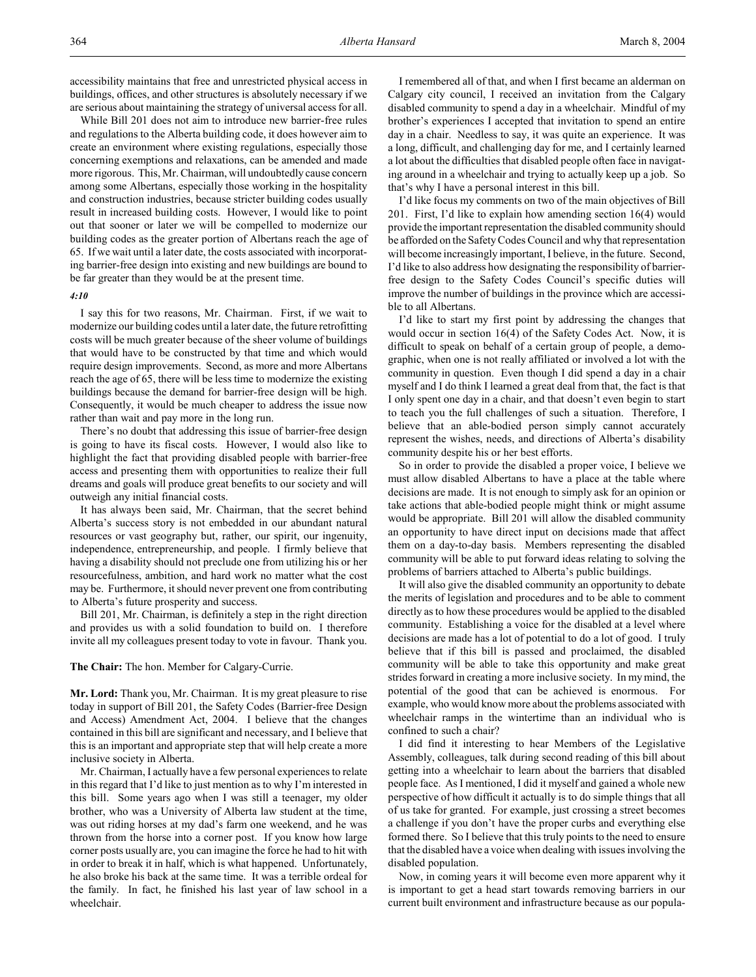accessibility maintains that free and unrestricted physical access in buildings, offices, and other structures is absolutely necessary if we are serious about maintaining the strategy of universal access for all.

While Bill 201 does not aim to introduce new barrier-free rules and regulations to the Alberta building code, it does however aim to create an environment where existing regulations, especially those concerning exemptions and relaxations, can be amended and made more rigorous. This, Mr. Chairman, will undoubtedly cause concern among some Albertans, especially those working in the hospitality and construction industries, because stricter building codes usually result in increased building costs. However, I would like to point out that sooner or later we will be compelled to modernize our building codes as the greater portion of Albertans reach the age of 65. If we wait until a later date, the costs associated with incorporating barrier-free design into existing and new buildings are bound to be far greater than they would be at the present time.

#### *4:10*

I say this for two reasons, Mr. Chairman. First, if we wait to modernize our building codes until a later date, the future retrofitting costs will be much greater because of the sheer volume of buildings that would have to be constructed by that time and which would require design improvements. Second, as more and more Albertans reach the age of 65, there will be less time to modernize the existing buildings because the demand for barrier-free design will be high. Consequently, it would be much cheaper to address the issue now rather than wait and pay more in the long run.

There's no doubt that addressing this issue of barrier-free design is going to have its fiscal costs. However, I would also like to highlight the fact that providing disabled people with barrier-free access and presenting them with opportunities to realize their full dreams and goals will produce great benefits to our society and will outweigh any initial financial costs.

It has always been said, Mr. Chairman, that the secret behind Alberta's success story is not embedded in our abundant natural resources or vast geography but, rather, our spirit, our ingenuity, independence, entrepreneurship, and people. I firmly believe that having a disability should not preclude one from utilizing his or her resourcefulness, ambition, and hard work no matter what the cost may be. Furthermore, it should never prevent one from contributing to Alberta's future prosperity and success.

Bill 201, Mr. Chairman, is definitely a step in the right direction and provides us with a solid foundation to build on. I therefore invite all my colleagues present today to vote in favour. Thank you.

# **The Chair:** The hon. Member for Calgary-Currie.

**Mr. Lord:** Thank you, Mr. Chairman. It is my great pleasure to rise today in support of Bill 201, the Safety Codes (Barrier-free Design and Access) Amendment Act, 2004. I believe that the changes contained in this bill are significant and necessary, and I believe that this is an important and appropriate step that will help create a more inclusive society in Alberta.

Mr. Chairman, I actually have a few personal experiences to relate in this regard that I'd like to just mention as to why I'm interested in this bill. Some years ago when I was still a teenager, my older brother, who was a University of Alberta law student at the time, was out riding horses at my dad's farm one weekend, and he was thrown from the horse into a corner post. If you know how large corner posts usually are, you can imagine the force he had to hit with in order to break it in half, which is what happened. Unfortunately, he also broke his back at the same time. It was a terrible ordeal for the family. In fact, he finished his last year of law school in a wheelchair.

I remembered all of that, and when I first became an alderman on Calgary city council, I received an invitation from the Calgary disabled community to spend a day in a wheelchair. Mindful of my brother's experiences I accepted that invitation to spend an entire day in a chair. Needless to say, it was quite an experience. It was a long, difficult, and challenging day for me, and I certainly learned a lot about the difficulties that disabled people often face in navigating around in a wheelchair and trying to actually keep up a job. So that's why I have a personal interest in this bill.

I'd like focus my comments on two of the main objectives of Bill 201. First, I'd like to explain how amending section 16(4) would provide the important representation the disabled community should be afforded on the Safety Codes Council and why that representation will become increasingly important, I believe, in the future. Second, I'd like to also address how designating the responsibility of barrierfree design to the Safety Codes Council's specific duties will improve the number of buildings in the province which are accessible to all Albertans.

I'd like to start my first point by addressing the changes that would occur in section 16(4) of the Safety Codes Act. Now, it is difficult to speak on behalf of a certain group of people, a demographic, when one is not really affiliated or involved a lot with the community in question. Even though I did spend a day in a chair myself and I do think I learned a great deal from that, the fact is that I only spent one day in a chair, and that doesn't even begin to start to teach you the full challenges of such a situation. Therefore, I believe that an able-bodied person simply cannot accurately represent the wishes, needs, and directions of Alberta's disability community despite his or her best efforts.

So in order to provide the disabled a proper voice, I believe we must allow disabled Albertans to have a place at the table where decisions are made. It is not enough to simply ask for an opinion or take actions that able-bodied people might think or might assume would be appropriate. Bill 201 will allow the disabled community an opportunity to have direct input on decisions made that affect them on a day-to-day basis. Members representing the disabled community will be able to put forward ideas relating to solving the problems of barriers attached to Alberta's public buildings.

It will also give the disabled community an opportunity to debate the merits of legislation and procedures and to be able to comment directly as to how these procedures would be applied to the disabled community. Establishing a voice for the disabled at a level where decisions are made has a lot of potential to do a lot of good. I truly believe that if this bill is passed and proclaimed, the disabled community will be able to take this opportunity and make great strides forward in creating a more inclusive society. In my mind, the potential of the good that can be achieved is enormous. For example, who would know more about the problems associated with wheelchair ramps in the wintertime than an individual who is confined to such a chair?

I did find it interesting to hear Members of the Legislative Assembly, colleagues, talk during second reading of this bill about getting into a wheelchair to learn about the barriers that disabled people face. As I mentioned, I did it myself and gained a whole new perspective of how difficult it actually is to do simple things that all of us take for granted. For example, just crossing a street becomes a challenge if you don't have the proper curbs and everything else formed there. So I believe that this truly points to the need to ensure that the disabled have a voice when dealing with issues involving the disabled population.

Now, in coming years it will become even more apparent why it is important to get a head start towards removing barriers in our current built environment and infrastructure because as our popula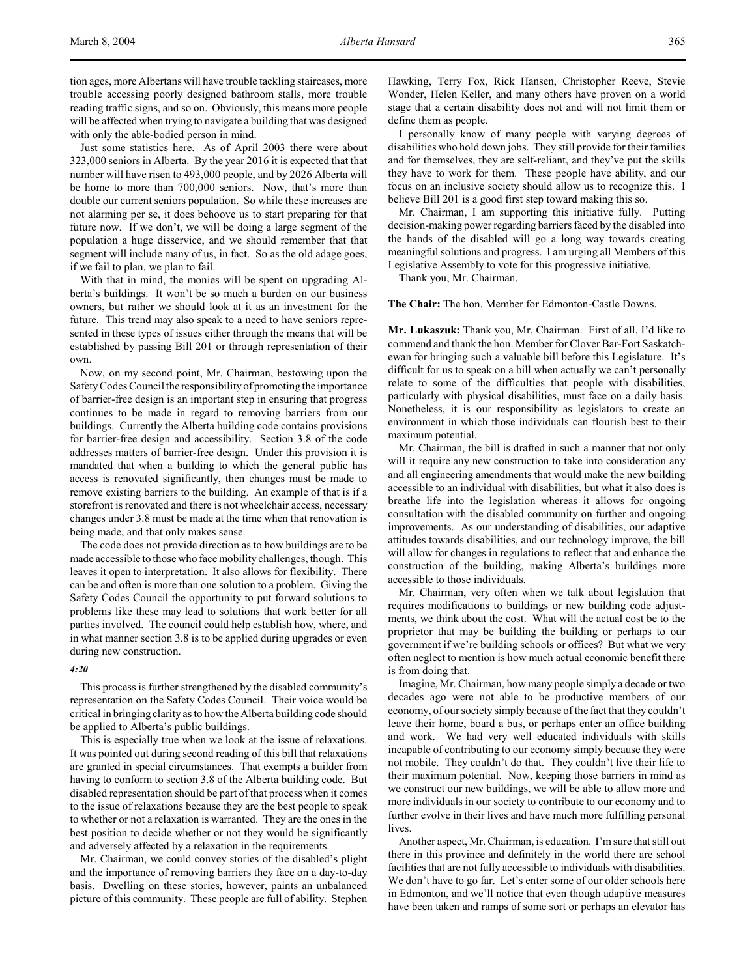tion ages, more Albertans will have trouble tackling staircases, more trouble accessing poorly designed bathroom stalls, more trouble reading traffic signs, and so on. Obviously, this means more people will be affected when trying to navigate a building that was designed with only the able-bodied person in mind.

Just some statistics here. As of April 2003 there were about 323,000 seniors in Alberta. By the year 2016 it is expected that that number will have risen to 493,000 people, and by 2026 Alberta will be home to more than 700,000 seniors. Now, that's more than double our current seniors population. So while these increases are not alarming per se, it does behoove us to start preparing for that future now. If we don't, we will be doing a large segment of the population a huge disservice, and we should remember that that segment will include many of us, in fact. So as the old adage goes, if we fail to plan, we plan to fail.

With that in mind, the monies will be spent on upgrading Alberta's buildings. It won't be so much a burden on our business owners, but rather we should look at it as an investment for the future. This trend may also speak to a need to have seniors represented in these types of issues either through the means that will be established by passing Bill 201 or through representation of their own.

Now, on my second point, Mr. Chairman, bestowing upon the Safety Codes Council the responsibility of promoting the importance of barrier-free design is an important step in ensuring that progress continues to be made in regard to removing barriers from our buildings. Currently the Alberta building code contains provisions for barrier-free design and accessibility. Section 3.8 of the code addresses matters of barrier-free design. Under this provision it is mandated that when a building to which the general public has access is renovated significantly, then changes must be made to remove existing barriers to the building. An example of that is if a storefront is renovated and there is not wheelchair access, necessary changes under 3.8 must be made at the time when that renovation is being made, and that only makes sense.

The code does not provide direction as to how buildings are to be made accessible to those who face mobility challenges, though. This leaves it open to interpretation. It also allows for flexibility. There can be and often is more than one solution to a problem. Giving the Safety Codes Council the opportunity to put forward solutions to problems like these may lead to solutions that work better for all parties involved. The council could help establish how, where, and in what manner section 3.8 is to be applied during upgrades or even during new construction.

# *4:20*

This process is further strengthened by the disabled community's representation on the Safety Codes Council. Their voice would be critical in bringing clarity as to how the Alberta building code should be applied to Alberta's public buildings.

This is especially true when we look at the issue of relaxations. It was pointed out during second reading of this bill that relaxations are granted in special circumstances. That exempts a builder from having to conform to section 3.8 of the Alberta building code. But disabled representation should be part of that process when it comes to the issue of relaxations because they are the best people to speak to whether or not a relaxation is warranted. They are the ones in the best position to decide whether or not they would be significantly and adversely affected by a relaxation in the requirements.

Mr. Chairman, we could convey stories of the disabled's plight and the importance of removing barriers they face on a day-to-day basis. Dwelling on these stories, however, paints an unbalanced picture of this community. These people are full of ability. Stephen

Hawking, Terry Fox, Rick Hansen, Christopher Reeve, Stevie Wonder, Helen Keller, and many others have proven on a world stage that a certain disability does not and will not limit them or define them as people.

I personally know of many people with varying degrees of disabilities who hold down jobs. They still provide for their families and for themselves, they are self-reliant, and they've put the skills they have to work for them. These people have ability, and our focus on an inclusive society should allow us to recognize this. I believe Bill 201 is a good first step toward making this so.

Mr. Chairman, I am supporting this initiative fully. Putting decision-making power regarding barriers faced by the disabled into the hands of the disabled will go a long way towards creating meaningful solutions and progress. I am urging all Members of this Legislative Assembly to vote for this progressive initiative.

Thank you, Mr. Chairman.

#### **The Chair:** The hon. Member for Edmonton-Castle Downs.

**Mr. Lukaszuk:** Thank you, Mr. Chairman. First of all, I'd like to commend and thank the hon. Member for Clover Bar-Fort Saskatchewan for bringing such a valuable bill before this Legislature. It's difficult for us to speak on a bill when actually we can't personally relate to some of the difficulties that people with disabilities, particularly with physical disabilities, must face on a daily basis. Nonetheless, it is our responsibility as legislators to create an environment in which those individuals can flourish best to their maximum potential.

Mr. Chairman, the bill is drafted in such a manner that not only will it require any new construction to take into consideration any and all engineering amendments that would make the new building accessible to an individual with disabilities, but what it also does is breathe life into the legislation whereas it allows for ongoing consultation with the disabled community on further and ongoing improvements. As our understanding of disabilities, our adaptive attitudes towards disabilities, and our technology improve, the bill will allow for changes in regulations to reflect that and enhance the construction of the building, making Alberta's buildings more accessible to those individuals.

Mr. Chairman, very often when we talk about legislation that requires modifications to buildings or new building code adjustments, we think about the cost. What will the actual cost be to the proprietor that may be building the building or perhaps to our government if we're building schools or offices? But what we very often neglect to mention is how much actual economic benefit there is from doing that.

Imagine, Mr. Chairman, how many people simply a decade or two decades ago were not able to be productive members of our economy, of our society simply because of the fact that they couldn't leave their home, board a bus, or perhaps enter an office building and work. We had very well educated individuals with skills incapable of contributing to our economy simply because they were not mobile. They couldn't do that. They couldn't live their life to their maximum potential. Now, keeping those barriers in mind as we construct our new buildings, we will be able to allow more and more individuals in our society to contribute to our economy and to further evolve in their lives and have much more fulfilling personal lives.

Another aspect, Mr. Chairman, is education. I'm sure that still out there in this province and definitely in the world there are school facilities that are not fully accessible to individuals with disabilities. We don't have to go far. Let's enter some of our older schools here in Edmonton, and we'll notice that even though adaptive measures have been taken and ramps of some sort or perhaps an elevator has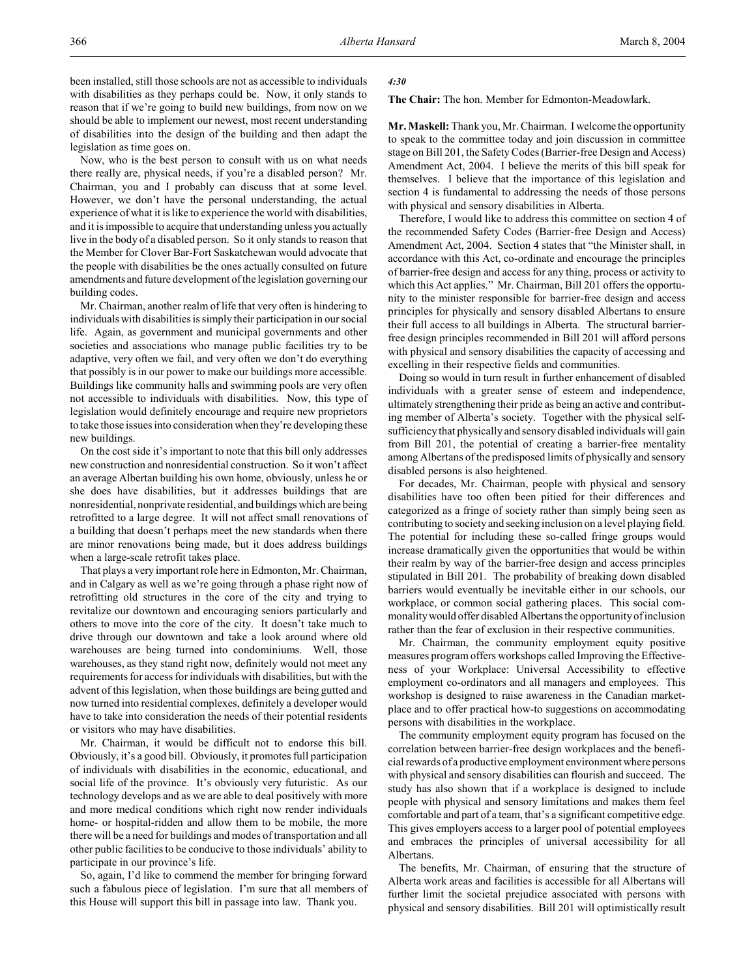Now, who is the best person to consult with us on what needs there really are, physical needs, if you're a disabled person? Mr. Chairman, you and I probably can discuss that at some level. However, we don't have the personal understanding, the actual experience of what it is like to experience the world with disabilities, and it is impossible to acquire that understanding unless you actually live in the body of a disabled person. So it only stands to reason that the Member for Clover Bar-Fort Saskatchewan would advocate that the people with disabilities be the ones actually consulted on future amendments and future development of the legislation governing our building codes.

Mr. Chairman, another realm of life that very often is hindering to individuals with disabilities is simply their participation in our social life. Again, as government and municipal governments and other societies and associations who manage public facilities try to be adaptive, very often we fail, and very often we don't do everything that possibly is in our power to make our buildings more accessible. Buildings like community halls and swimming pools are very often not accessible to individuals with disabilities. Now, this type of legislation would definitely encourage and require new proprietors to take those issues into consideration when they're developing these new buildings.

On the cost side it's important to note that this bill only addresses new construction and nonresidential construction. So it won't affect an average Albertan building his own home, obviously, unless he or she does have disabilities, but it addresses buildings that are nonresidential, nonprivate residential, and buildings which are being retrofitted to a large degree. It will not affect small renovations of a building that doesn't perhaps meet the new standards when there are minor renovations being made, but it does address buildings when a large-scale retrofit takes place.

That plays a very important role here in Edmonton, Mr. Chairman, and in Calgary as well as we're going through a phase right now of retrofitting old structures in the core of the city and trying to revitalize our downtown and encouraging seniors particularly and others to move into the core of the city. It doesn't take much to drive through our downtown and take a look around where old warehouses are being turned into condominiums. Well, those warehouses, as they stand right now, definitely would not meet any requirements for access for individuals with disabilities, but with the advent of this legislation, when those buildings are being gutted and now turned into residential complexes, definitely a developer would have to take into consideration the needs of their potential residents or visitors who may have disabilities.

Mr. Chairman, it would be difficult not to endorse this bill. Obviously, it's a good bill. Obviously, it promotes full participation of individuals with disabilities in the economic, educational, and social life of the province. It's obviously very futuristic. As our technology develops and as we are able to deal positively with more and more medical conditions which right now render individuals home- or hospital-ridden and allow them to be mobile, the more there will be a need for buildings and modes of transportation and all other public facilities to be conducive to those individuals' ability to participate in our province's life.

So, again, I'd like to commend the member for bringing forward such a fabulous piece of legislation. I'm sure that all members of this House will support this bill in passage into law. Thank you.

## *4:30*

**The Chair:** The hon. Member for Edmonton-Meadowlark.

**Mr. Maskell:** Thank you, Mr. Chairman. I welcome the opportunity to speak to the committee today and join discussion in committee stage on Bill 201, the Safety Codes (Barrier-free Design and Access) Amendment Act, 2004. I believe the merits of this bill speak for themselves. I believe that the importance of this legislation and section 4 is fundamental to addressing the needs of those persons with physical and sensory disabilities in Alberta.

Therefore, I would like to address this committee on section 4 of the recommended Safety Codes (Barrier-free Design and Access) Amendment Act, 2004. Section 4 states that "the Minister shall, in accordance with this Act, co-ordinate and encourage the principles of barrier-free design and access for any thing, process or activity to which this Act applies." Mr. Chairman, Bill 201 offers the opportunity to the minister responsible for barrier-free design and access principles for physically and sensory disabled Albertans to ensure their full access to all buildings in Alberta. The structural barrierfree design principles recommended in Bill 201 will afford persons with physical and sensory disabilities the capacity of accessing and excelling in their respective fields and communities.

Doing so would in turn result in further enhancement of disabled individuals with a greater sense of esteem and independence, ultimately strengthening their pride as being an active and contributing member of Alberta's society. Together with the physical selfsufficiency that physically and sensory disabled individuals will gain from Bill 201, the potential of creating a barrier-free mentality among Albertans of the predisposed limits of physically and sensory disabled persons is also heightened.

For decades, Mr. Chairman, people with physical and sensory disabilities have too often been pitied for their differences and categorized as a fringe of society rather than simply being seen as contributing to society and seeking inclusion on a level playing field. The potential for including these so-called fringe groups would increase dramatically given the opportunities that would be within their realm by way of the barrier-free design and access principles stipulated in Bill 201. The probability of breaking down disabled barriers would eventually be inevitable either in our schools, our workplace, or common social gathering places. This social commonality would offer disabled Albertans the opportunity of inclusion rather than the fear of exclusion in their respective communities.

Mr. Chairman, the community employment equity positive measures program offers workshops called Improving the Effectiveness of your Workplace: Universal Accessibility to effective employment co-ordinators and all managers and employees. This workshop is designed to raise awareness in the Canadian marketplace and to offer practical how-to suggestions on accommodating persons with disabilities in the workplace.

The community employment equity program has focused on the correlation between barrier-free design workplaces and the beneficial rewards of a productive employment environment where persons with physical and sensory disabilities can flourish and succeed. The study has also shown that if a workplace is designed to include people with physical and sensory limitations and makes them feel comfortable and part of a team, that's a significant competitive edge. This gives employers access to a larger pool of potential employees and embraces the principles of universal accessibility for all Albertans.

The benefits, Mr. Chairman, of ensuring that the structure of Alberta work areas and facilities is accessible for all Albertans will further limit the societal prejudice associated with persons with physical and sensory disabilities. Bill 201 will optimistically result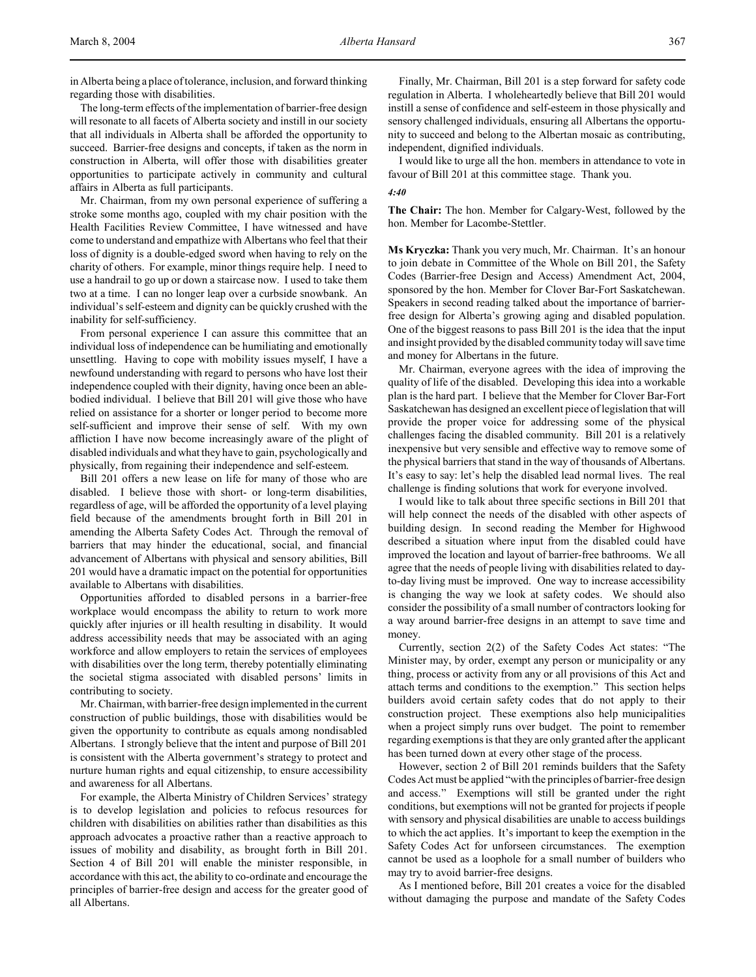in Alberta being a place of tolerance, inclusion, and forward thinking regarding those with disabilities.

The long-term effects of the implementation of barrier-free design will resonate to all facets of Alberta society and instill in our society that all individuals in Alberta shall be afforded the opportunity to succeed. Barrier-free designs and concepts, if taken as the norm in construction in Alberta, will offer those with disabilities greater opportunities to participate actively in community and cultural affairs in Alberta as full participants.

Mr. Chairman, from my own personal experience of suffering a stroke some months ago, coupled with my chair position with the Health Facilities Review Committee, I have witnessed and have come to understand and empathize with Albertans who feel that their loss of dignity is a double-edged sword when having to rely on the charity of others. For example, minor things require help. I need to use a handrail to go up or down a staircase now. I used to take them two at a time. I can no longer leap over a curbside snowbank. An individual's self-esteem and dignity can be quickly crushed with the inability for self-sufficiency.

From personal experience I can assure this committee that an individual loss of independence can be humiliating and emotionally unsettling. Having to cope with mobility issues myself, I have a newfound understanding with regard to persons who have lost their independence coupled with their dignity, having once been an ablebodied individual. I believe that Bill 201 will give those who have relied on assistance for a shorter or longer period to become more self-sufficient and improve their sense of self. With my own affliction I have now become increasingly aware of the plight of disabled individuals and what they have to gain, psychologically and physically, from regaining their independence and self-esteem.

Bill 201 offers a new lease on life for many of those who are disabled. I believe those with short- or long-term disabilities, regardless of age, will be afforded the opportunity of a level playing field because of the amendments brought forth in Bill 201 in amending the Alberta Safety Codes Act. Through the removal of barriers that may hinder the educational, social, and financial advancement of Albertans with physical and sensory abilities, Bill 201 would have a dramatic impact on the potential for opportunities available to Albertans with disabilities.

Opportunities afforded to disabled persons in a barrier-free workplace would encompass the ability to return to work more quickly after injuries or ill health resulting in disability. It would address accessibility needs that may be associated with an aging workforce and allow employers to retain the services of employees with disabilities over the long term, thereby potentially eliminating the societal stigma associated with disabled persons' limits in contributing to society.

Mr. Chairman, with barrier-free design implemented in the current construction of public buildings, those with disabilities would be given the opportunity to contribute as equals among nondisabled Albertans. I strongly believe that the intent and purpose of Bill 201 is consistent with the Alberta government's strategy to protect and nurture human rights and equal citizenship, to ensure accessibility and awareness for all Albertans.

For example, the Alberta Ministry of Children Services' strategy is to develop legislation and policies to refocus resources for children with disabilities on abilities rather than disabilities as this approach advocates a proactive rather than a reactive approach to issues of mobility and disability, as brought forth in Bill 201. Section 4 of Bill 201 will enable the minister responsible, in accordance with this act, the ability to co-ordinate and encourage the principles of barrier-free design and access for the greater good of all Albertans.

Finally, Mr. Chairman, Bill 201 is a step forward for safety code regulation in Alberta. I wholeheartedly believe that Bill 201 would instill a sense of confidence and self-esteem in those physically and sensory challenged individuals, ensuring all Albertans the opportunity to succeed and belong to the Albertan mosaic as contributing, independent, dignified individuals.

I would like to urge all the hon. members in attendance to vote in favour of Bill 201 at this committee stage. Thank you.

## *4:40*

**The Chair:** The hon. Member for Calgary-West, followed by the hon. Member for Lacombe-Stettler.

**Ms Kryczka:** Thank you very much, Mr. Chairman. It's an honour to join debate in Committee of the Whole on Bill 201, the Safety Codes (Barrier-free Design and Access) Amendment Act, 2004, sponsored by the hon. Member for Clover Bar-Fort Saskatchewan. Speakers in second reading talked about the importance of barrierfree design for Alberta's growing aging and disabled population. One of the biggest reasons to pass Bill 201 is the idea that the input and insight provided by the disabled community today will save time and money for Albertans in the future.

Mr. Chairman, everyone agrees with the idea of improving the quality of life of the disabled. Developing this idea into a workable plan is the hard part. I believe that the Member for Clover Bar-Fort Saskatchewan has designed an excellent piece of legislation that will provide the proper voice for addressing some of the physical challenges facing the disabled community. Bill 201 is a relatively inexpensive but very sensible and effective way to remove some of the physical barriers that stand in the way of thousands of Albertans. It's easy to say: let's help the disabled lead normal lives. The real challenge is finding solutions that work for everyone involved.

I would like to talk about three specific sections in Bill 201 that will help connect the needs of the disabled with other aspects of building design. In second reading the Member for Highwood described a situation where input from the disabled could have improved the location and layout of barrier-free bathrooms. We all agree that the needs of people living with disabilities related to dayto-day living must be improved. One way to increase accessibility is changing the way we look at safety codes. We should also consider the possibility of a small number of contractors looking for a way around barrier-free designs in an attempt to save time and money.

Currently, section 2(2) of the Safety Codes Act states: "The Minister may, by order, exempt any person or municipality or any thing, process or activity from any or all provisions of this Act and attach terms and conditions to the exemption." This section helps builders avoid certain safety codes that do not apply to their construction project. These exemptions also help municipalities when a project simply runs over budget. The point to remember regarding exemptions is that they are only granted after the applicant has been turned down at every other stage of the process.

However, section 2 of Bill 201 reminds builders that the Safety Codes Act must be applied "with the principles of barrier-free design and access." Exemptions will still be granted under the right conditions, but exemptions will not be granted for projects if people with sensory and physical disabilities are unable to access buildings to which the act applies. It's important to keep the exemption in the Safety Codes Act for unforseen circumstances. The exemption cannot be used as a loophole for a small number of builders who may try to avoid barrier-free designs.

As I mentioned before, Bill 201 creates a voice for the disabled without damaging the purpose and mandate of the Safety Codes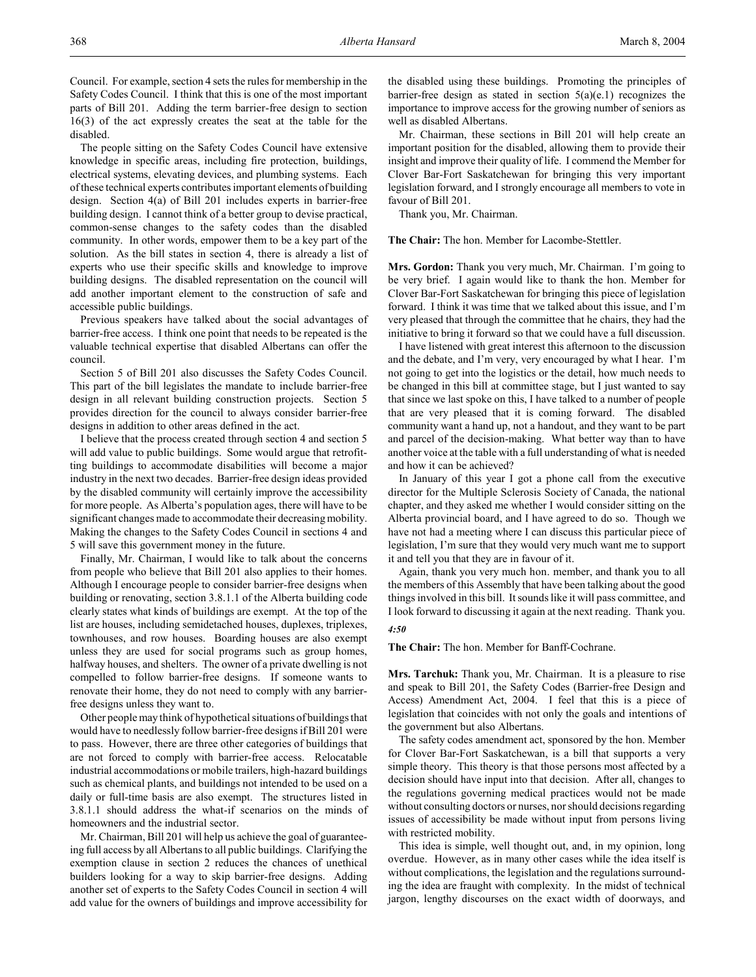Council. For example, section 4 sets the rules for membership in the Safety Codes Council. I think that this is one of the most important parts of Bill 201. Adding the term barrier-free design to section 16(3) of the act expressly creates the seat at the table for the disabled.

The people sitting on the Safety Codes Council have extensive knowledge in specific areas, including fire protection, buildings, electrical systems, elevating devices, and plumbing systems. Each of these technical experts contributes important elements of building design. Section 4(a) of Bill 201 includes experts in barrier-free building design. I cannot think of a better group to devise practical, common-sense changes to the safety codes than the disabled community. In other words, empower them to be a key part of the solution. As the bill states in section 4, there is already a list of experts who use their specific skills and knowledge to improve building designs. The disabled representation on the council will add another important element to the construction of safe and accessible public buildings.

Previous speakers have talked about the social advantages of barrier-free access. I think one point that needs to be repeated is the valuable technical expertise that disabled Albertans can offer the council.

Section 5 of Bill 201 also discusses the Safety Codes Council. This part of the bill legislates the mandate to include barrier-free design in all relevant building construction projects. Section 5 provides direction for the council to always consider barrier-free designs in addition to other areas defined in the act.

I believe that the process created through section 4 and section 5 will add value to public buildings. Some would argue that retrofitting buildings to accommodate disabilities will become a major industry in the next two decades. Barrier-free design ideas provided by the disabled community will certainly improve the accessibility for more people. As Alberta's population ages, there will have to be significant changes made to accommodate their decreasing mobility. Making the changes to the Safety Codes Council in sections 4 and 5 will save this government money in the future.

Finally, Mr. Chairman, I would like to talk about the concerns from people who believe that Bill 201 also applies to their homes. Although I encourage people to consider barrier-free designs when building or renovating, section 3.8.1.1 of the Alberta building code clearly states what kinds of buildings are exempt. At the top of the list are houses, including semidetached houses, duplexes, triplexes, townhouses, and row houses. Boarding houses are also exempt unless they are used for social programs such as group homes, halfway houses, and shelters. The owner of a private dwelling is not compelled to follow barrier-free designs. If someone wants to renovate their home, they do not need to comply with any barrierfree designs unless they want to.

Other people may think of hypothetical situations of buildings that would have to needlessly follow barrier-free designs if Bill 201 were to pass. However, there are three other categories of buildings that are not forced to comply with barrier-free access. Relocatable industrial accommodations or mobile trailers, high-hazard buildings such as chemical plants, and buildings not intended to be used on a daily or full-time basis are also exempt. The structures listed in 3.8.1.1 should address the what-if scenarios on the minds of homeowners and the industrial sector.

Mr. Chairman, Bill 201 will help us achieve the goal of guaranteeing full access by all Albertans to all public buildings. Clarifying the exemption clause in section 2 reduces the chances of unethical builders looking for a way to skip barrier-free designs. Adding another set of experts to the Safety Codes Council in section 4 will add value for the owners of buildings and improve accessibility for

the disabled using these buildings. Promoting the principles of barrier-free design as stated in section  $5(a)(e.1)$  recognizes the importance to improve access for the growing number of seniors as well as disabled Albertans.

Mr. Chairman, these sections in Bill 201 will help create an important position for the disabled, allowing them to provide their insight and improve their quality of life. I commend the Member for Clover Bar-Fort Saskatchewan for bringing this very important legislation forward, and I strongly encourage all members to vote in favour of Bill 201.

Thank you, Mr. Chairman.

**The Chair:** The hon. Member for Lacombe-Stettler.

**Mrs. Gordon:** Thank you very much, Mr. Chairman. I'm going to be very brief. I again would like to thank the hon. Member for Clover Bar-Fort Saskatchewan for bringing this piece of legislation forward. I think it was time that we talked about this issue, and I'm very pleased that through the committee that he chairs, they had the initiative to bring it forward so that we could have a full discussion.

I have listened with great interest this afternoon to the discussion and the debate, and I'm very, very encouraged by what I hear. I'm not going to get into the logistics or the detail, how much needs to be changed in this bill at committee stage, but I just wanted to say that since we last spoke on this, I have talked to a number of people that are very pleased that it is coming forward. The disabled community want a hand up, not a handout, and they want to be part and parcel of the decision-making. What better way than to have another voice at the table with a full understanding of what is needed and how it can be achieved?

In January of this year I got a phone call from the executive director for the Multiple Sclerosis Society of Canada, the national chapter, and they asked me whether I would consider sitting on the Alberta provincial board, and I have agreed to do so. Though we have not had a meeting where I can discuss this particular piece of legislation, I'm sure that they would very much want me to support it and tell you that they are in favour of it.

Again, thank you very much hon. member, and thank you to all the members of this Assembly that have been talking about the good things involved in this bill. It sounds like it will pass committee, and I look forward to discussing it again at the next reading. Thank you.

# *4:50*

**The Chair:** The hon. Member for Banff-Cochrane.

**Mrs. Tarchuk:** Thank you, Mr. Chairman. It is a pleasure to rise and speak to Bill 201, the Safety Codes (Barrier-free Design and Access) Amendment Act, 2004. I feel that this is a piece of legislation that coincides with not only the goals and intentions of the government but also Albertans.

The safety codes amendment act, sponsored by the hon. Member for Clover Bar-Fort Saskatchewan, is a bill that supports a very simple theory. This theory is that those persons most affected by a decision should have input into that decision. After all, changes to the regulations governing medical practices would not be made without consulting doctors or nurses, nor should decisions regarding issues of accessibility be made without input from persons living with restricted mobility.

This idea is simple, well thought out, and, in my opinion, long overdue. However, as in many other cases while the idea itself is without complications, the legislation and the regulations surrounding the idea are fraught with complexity. In the midst of technical jargon, lengthy discourses on the exact width of doorways, and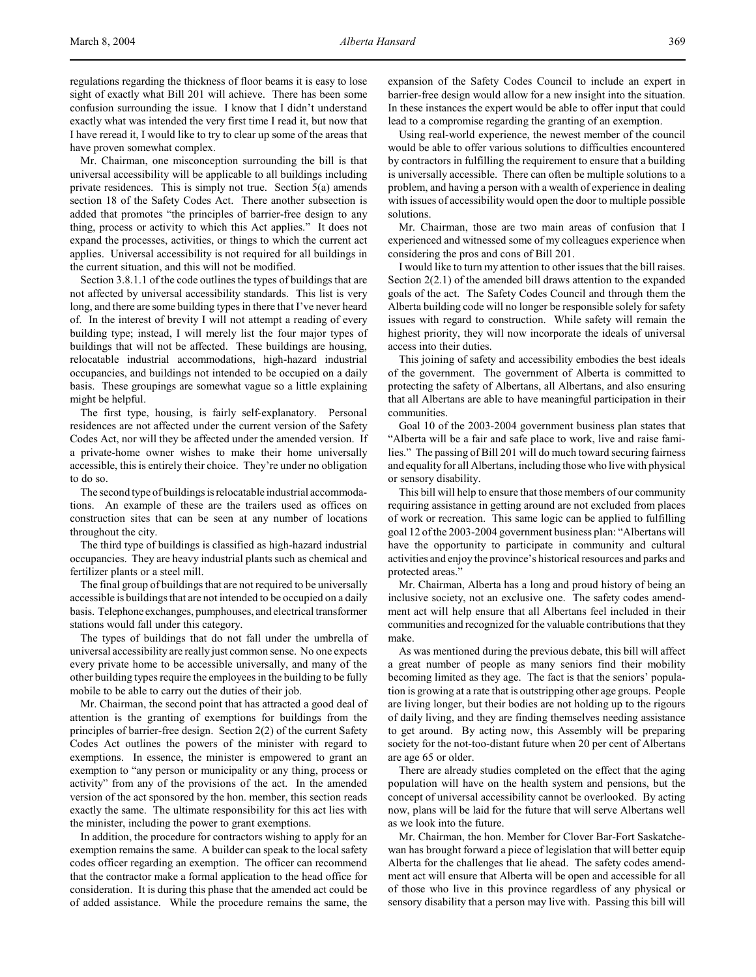regulations regarding the thickness of floor beams it is easy to lose sight of exactly what Bill 201 will achieve. There has been some confusion surrounding the issue. I know that I didn't understand exactly what was intended the very first time I read it, but now that I have reread it, I would like to try to clear up some of the areas that have proven somewhat complex.

Mr. Chairman, one misconception surrounding the bill is that universal accessibility will be applicable to all buildings including private residences. This is simply not true. Section 5(a) amends section 18 of the Safety Codes Act. There another subsection is added that promotes "the principles of barrier-free design to any thing, process or activity to which this Act applies." It does not expand the processes, activities, or things to which the current act applies. Universal accessibility is not required for all buildings in the current situation, and this will not be modified.

Section 3.8.1.1 of the code outlines the types of buildings that are not affected by universal accessibility standards. This list is very long, and there are some building types in there that I've never heard of. In the interest of brevity I will not attempt a reading of every building type; instead, I will merely list the four major types of buildings that will not be affected. These buildings are housing, relocatable industrial accommodations, high-hazard industrial occupancies, and buildings not intended to be occupied on a daily basis. These groupings are somewhat vague so a little explaining might be helpful.

The first type, housing, is fairly self-explanatory. Personal residences are not affected under the current version of the Safety Codes Act, nor will they be affected under the amended version. If a private-home owner wishes to make their home universally accessible, this is entirely their choice. They're under no obligation to do so.

The second type of buildings is relocatable industrial accommodations. An example of these are the trailers used as offices on construction sites that can be seen at any number of locations throughout the city.

The third type of buildings is classified as high-hazard industrial occupancies. They are heavy industrial plants such as chemical and fertilizer plants or a steel mill.

The final group of buildings that are not required to be universally accessible is buildings that are not intended to be occupied on a daily basis. Telephone exchanges, pumphouses, and electrical transformer stations would fall under this category.

The types of buildings that do not fall under the umbrella of universal accessibility are really just common sense. No one expects every private home to be accessible universally, and many of the other building types require the employees in the building to be fully mobile to be able to carry out the duties of their job.

Mr. Chairman, the second point that has attracted a good deal of attention is the granting of exemptions for buildings from the principles of barrier-free design. Section 2(2) of the current Safety Codes Act outlines the powers of the minister with regard to exemptions. In essence, the minister is empowered to grant an exemption to "any person or municipality or any thing, process or activity" from any of the provisions of the act. In the amended version of the act sponsored by the hon. member, this section reads exactly the same. The ultimate responsibility for this act lies with the minister, including the power to grant exemptions.

In addition, the procedure for contractors wishing to apply for an exemption remains the same. A builder can speak to the local safety codes officer regarding an exemption. The officer can recommend that the contractor make a formal application to the head office for consideration. It is during this phase that the amended act could be of added assistance. While the procedure remains the same, the

expansion of the Safety Codes Council to include an expert in barrier-free design would allow for a new insight into the situation. In these instances the expert would be able to offer input that could lead to a compromise regarding the granting of an exemption.

Using real-world experience, the newest member of the council would be able to offer various solutions to difficulties encountered by contractors in fulfilling the requirement to ensure that a building is universally accessible. There can often be multiple solutions to a problem, and having a person with a wealth of experience in dealing with issues of accessibility would open the door to multiple possible solutions.

Mr. Chairman, those are two main areas of confusion that I experienced and witnessed some of my colleagues experience when considering the pros and cons of Bill 201.

I would like to turn my attention to other issues that the bill raises. Section 2(2.1) of the amended bill draws attention to the expanded goals of the act. The Safety Codes Council and through them the Alberta building code will no longer be responsible solely for safety issues with regard to construction. While safety will remain the highest priority, they will now incorporate the ideals of universal access into their duties.

This joining of safety and accessibility embodies the best ideals of the government. The government of Alberta is committed to protecting the safety of Albertans, all Albertans, and also ensuring that all Albertans are able to have meaningful participation in their communities.

Goal 10 of the 2003-2004 government business plan states that "Alberta will be a fair and safe place to work, live and raise families." The passing of Bill 201 will do much toward securing fairness and equality for all Albertans, including those who live with physical or sensory disability.

This bill will help to ensure that those members of our community requiring assistance in getting around are not excluded from places of work or recreation. This same logic can be applied to fulfilling goal 12 of the 2003-2004 government business plan: "Albertans will have the opportunity to participate in community and cultural activities and enjoy the province's historical resources and parks and protected areas.'

Mr. Chairman, Alberta has a long and proud history of being an inclusive society, not an exclusive one. The safety codes amendment act will help ensure that all Albertans feel included in their communities and recognized for the valuable contributions that they make.

As was mentioned during the previous debate, this bill will affect a great number of people as many seniors find their mobility becoming limited as they age. The fact is that the seniors' population is growing at a rate that is outstripping other age groups. People are living longer, but their bodies are not holding up to the rigours of daily living, and they are finding themselves needing assistance to get around. By acting now, this Assembly will be preparing society for the not-too-distant future when 20 per cent of Albertans are age 65 or older.

There are already studies completed on the effect that the aging population will have on the health system and pensions, but the concept of universal accessibility cannot be overlooked. By acting now, plans will be laid for the future that will serve Albertans well as we look into the future.

Mr. Chairman, the hon. Member for Clover Bar-Fort Saskatchewan has brought forward a piece of legislation that will better equip Alberta for the challenges that lie ahead. The safety codes amendment act will ensure that Alberta will be open and accessible for all of those who live in this province regardless of any physical or sensory disability that a person may live with. Passing this bill will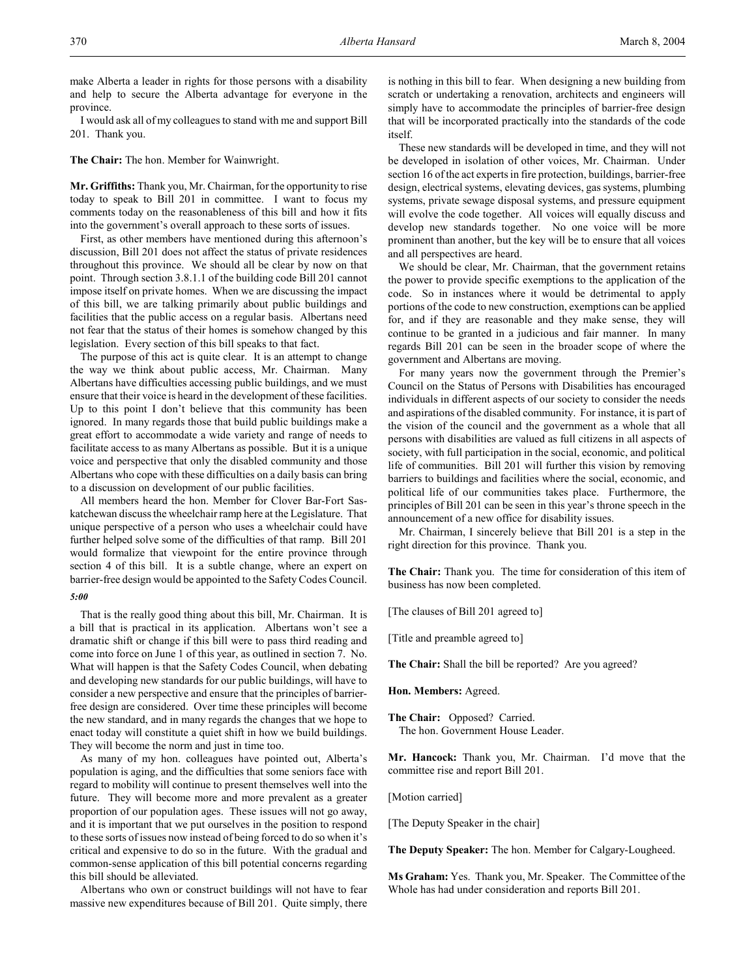make Alberta a leader in rights for those persons with a disability and help to secure the Alberta advantage for everyone in the province.

I would ask all of my colleagues to stand with me and support Bill 201. Thank you.

**The Chair:** The hon. Member for Wainwright.

**Mr. Griffiths:** Thank you, Mr. Chairman, for the opportunity to rise today to speak to Bill 201 in committee. I want to focus my comments today on the reasonableness of this bill and how it fits into the government's overall approach to these sorts of issues.

First, as other members have mentioned during this afternoon's discussion, Bill 201 does not affect the status of private residences throughout this province. We should all be clear by now on that point. Through section 3.8.1.1 of the building code Bill 201 cannot impose itself on private homes. When we are discussing the impact of this bill, we are talking primarily about public buildings and facilities that the public access on a regular basis. Albertans need not fear that the status of their homes is somehow changed by this legislation. Every section of this bill speaks to that fact.

The purpose of this act is quite clear. It is an attempt to change the way we think about public access, Mr. Chairman. Many Albertans have difficulties accessing public buildings, and we must ensure that their voice is heard in the development of these facilities. Up to this point I don't believe that this community has been ignored. In many regards those that build public buildings make a great effort to accommodate a wide variety and range of needs to facilitate access to as many Albertans as possible. But it is a unique voice and perspective that only the disabled community and those Albertans who cope with these difficulties on a daily basis can bring to a discussion on development of our public facilities.

All members heard the hon. Member for Clover Bar-Fort Saskatchewan discuss the wheelchair ramp here at the Legislature. That unique perspective of a person who uses a wheelchair could have further helped solve some of the difficulties of that ramp. Bill 201 would formalize that viewpoint for the entire province through section 4 of this bill. It is a subtle change, where an expert on barrier-free design would be appointed to the Safety Codes Council.

#### *5:00*

That is the really good thing about this bill, Mr. Chairman. It is a bill that is practical in its application. Albertans won't see a dramatic shift or change if this bill were to pass third reading and come into force on June 1 of this year, as outlined in section 7. No. What will happen is that the Safety Codes Council, when debating and developing new standards for our public buildings, will have to consider a new perspective and ensure that the principles of barrierfree design are considered. Over time these principles will become the new standard, and in many regards the changes that we hope to enact today will constitute a quiet shift in how we build buildings. They will become the norm and just in time too.

As many of my hon. colleagues have pointed out, Alberta's population is aging, and the difficulties that some seniors face with regard to mobility will continue to present themselves well into the future. They will become more and more prevalent as a greater proportion of our population ages. These issues will not go away, and it is important that we put ourselves in the position to respond to these sorts of issues now instead of being forced to do so when it's critical and expensive to do so in the future. With the gradual and common-sense application of this bill potential concerns regarding this bill should be alleviated.

Albertans who own or construct buildings will not have to fear massive new expenditures because of Bill 201. Quite simply, there is nothing in this bill to fear. When designing a new building from scratch or undertaking a renovation, architects and engineers will simply have to accommodate the principles of barrier-free design that will be incorporated practically into the standards of the code itself.

These new standards will be developed in time, and they will not be developed in isolation of other voices, Mr. Chairman. Under section 16 of the act experts in fire protection, buildings, barrier-free design, electrical systems, elevating devices, gas systems, plumbing systems, private sewage disposal systems, and pressure equipment will evolve the code together. All voices will equally discuss and develop new standards together. No one voice will be more prominent than another, but the key will be to ensure that all voices and all perspectives are heard.

We should be clear, Mr. Chairman, that the government retains the power to provide specific exemptions to the application of the code. So in instances where it would be detrimental to apply portions of the code to new construction, exemptions can be applied for, and if they are reasonable and they make sense, they will continue to be granted in a judicious and fair manner. In many regards Bill 201 can be seen in the broader scope of where the government and Albertans are moving.

For many years now the government through the Premier's Council on the Status of Persons with Disabilities has encouraged individuals in different aspects of our society to consider the needs and aspirations of the disabled community. For instance, it is part of the vision of the council and the government as a whole that all persons with disabilities are valued as full citizens in all aspects of society, with full participation in the social, economic, and political life of communities. Bill 201 will further this vision by removing barriers to buildings and facilities where the social, economic, and political life of our communities takes place. Furthermore, the principles of Bill 201 can be seen in this year's throne speech in the announcement of a new office for disability issues.

Mr. Chairman, I sincerely believe that Bill 201 is a step in the right direction for this province. Thank you.

**The Chair:** Thank you. The time for consideration of this item of business has now been completed.

[The clauses of Bill 201 agreed to]

[Title and preamble agreed to]

**The Chair:** Shall the bill be reported? Are you agreed?

**Hon. Members:** Agreed.

**The Chair:** Opposed? Carried. The hon. Government House Leader.

**Mr. Hancock:** Thank you, Mr. Chairman. I'd move that the committee rise and report Bill 201.

[Motion carried]

[The Deputy Speaker in the chair]

**The Deputy Speaker:** The hon. Member for Calgary-Lougheed.

**Ms Graham:** Yes. Thank you, Mr. Speaker. The Committee of the Whole has had under consideration and reports Bill 201.